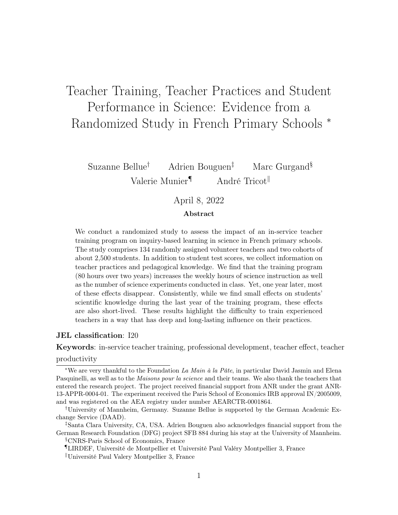# Teacher Training, Teacher Practices and Student Performance in Science: Evidence from a Randomized Study in French Primary Schools <sup>∗</sup>

Suzanne Bellue† Adrien Bouguen‡ Marc Gurgand§ Valerie Munier<sup>¶</sup> André Tricot<sup>||</sup>

### April 8, 2022

#### Abstract

We conduct a randomized study to assess the impact of an in-service teacher training program on inquiry-based learning in science in French primary schools. The study comprises 134 randomly assigned volunteer teachers and two cohorts of about 2,500 students. In addition to student test scores, we collect information on teacher practices and pedagogical knowledge. We find that the training program (80 hours over two years) increases the weekly hours of science instruction as well as the number of science experiments conducted in class. Yet, one year later, most of these effects disappear. Consistently, while we find small effects on students' scientific knowledge during the last year of the training program, these effects are also short-lived. These results highlight the difficulty to train experienced teachers in a way that has deep and long-lasting influence on their practices.

#### JEL classification: I20

Keywords: in-service teacher training, professional development, teacher effect, teacher

#### productivity

§CNRS-Paris School of Economics, France

¶LIRDEF, Université de Montpellier et Université Paul Valéry Montpellier 3, France

<sup>\*</sup>We are very thankful to the Foundation La Main à la Pâte, in particular David Jasmin and Elena Pasquinelli, as well as to the Maisons pour la science and their teams. We also thank the teachers that entered the research project. The project received financial support from ANR under the grant ANR-13-APPR-0004-01. The experiment received the Paris School of Economics IRB approval IN/2005009, and was registered on the AEA registry under number AEARCTR-0001864.

<sup>†</sup>University of Mannheim, Germany. Suzanne Bellue is supported by the German Academic Exchange Service (DAAD).

<sup>‡</sup>Santa Clara University, CA, USA. Adrien Bouguen also acknowledges financial support from the German Research Foundation (DFG) project SFB 884 during his stay at the University of Mannheim.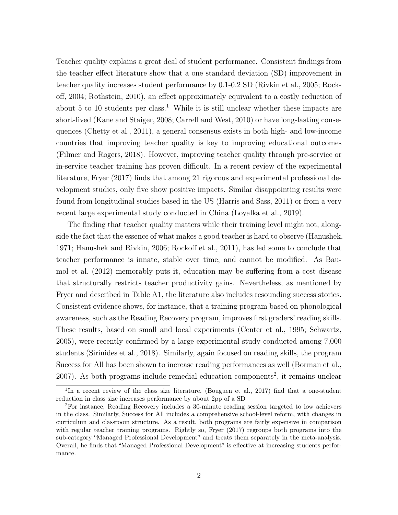Teacher quality explains a great deal of student performance. Consistent findings from the teacher effect literature show that a one standard deviation (SD) improvement in teacher quality increases student performance by 0.1-0.2 SD [\(Rivkin et al.,](#page-43-0) [2005;](#page-43-0) [Rock](#page-43-1)[off,](#page-43-1) [2004;](#page-43-1) [Rothstein,](#page-43-2) [2010\)](#page-43-2), an effect approximately equivalent to a costly reduction of about 5 to [1](#page-1-0)0 students per class.<sup>1</sup> While it is still unclear whether these impacts are short-lived [\(Kane and Staiger,](#page-41-0) [2008;](#page-41-0) [Carrell and West,](#page-40-0) [2010\)](#page-40-0) or have long-lasting consequences [\(Chetty et al.,](#page-41-1) [2011\)](#page-41-1), a general consensus exists in both high- and low-income countries that improving teacher quality is key to improving educational outcomes [\(Filmer and Rogers,](#page-41-2) [2018\)](#page-41-2). However, improving teacher quality through pre-service or in-service teacher training has proven difficult. In a recent review of the experimental literature, [Fryer](#page-41-3) [\(2017\)](#page-41-3) finds that among 21 rigorous and experimental professional development studies, only five show positive impacts. Similar disappointing results were found from longitudinal studies based in the US [\(Harris and Sass,](#page-41-4) [2011\)](#page-41-4) or from a very recent large experimental study conducted in China [\(Loyalka et al.,](#page-42-0) [2019\)](#page-42-0).

The finding that teacher quality matters while their training level might not, alongside the fact that the essence of what makes a good teacher is hard to observe [\(Hanushek,](#page-41-5) [1971;](#page-41-5) [Hanushek and Rivkin,](#page-41-6) [2006;](#page-41-6) [Rockoff et al.,](#page-43-3) [2011\)](#page-43-3), has led some to conclude that teacher performance is innate, stable over time, and cannot be modified. As [Bau](#page-40-1)[mol et al.](#page-40-1) [\(2012\)](#page-40-1) memorably puts it, education may be suffering from a cost disease that structurally restricts teacher productivity gains. Nevertheless, as mentioned by Fryer and described in Table [A1,](#page-44-0) the literature also includes resounding success stories. Consistent evidence shows, for instance, that a training program based on phonological awareness, such as the Reading Recovery program, improves first graders' reading skills. These results, based on small and local experiments [\(Center et al.,](#page-40-2) [1995;](#page-40-2) [Schwartz,](#page-43-4) [2005\)](#page-43-4), were recently confirmed by a large experimental study conducted among 7,000 students [\(Sirinides et al.,](#page-43-5) [2018\)](#page-43-5). Similarly, again focused on reading skills, the program Success for All has been shown to increase reading performances as well [\(Borman et al.,](#page-40-3)  $2007$  $2007$ ). As both programs include remedial education components<sup>2</sup>, it remains unclear

<span id="page-1-0"></span><sup>&</sup>lt;sup>1</sup>In a recent review of the class size literature, [\(Bouguen et al.,](#page-40-4) [2017\)](#page-40-4) find that a one-student reduction in class size increases performance by about 2pp of a SD

<span id="page-1-1"></span><sup>2</sup>For instance, Reading Recovery includes a 30-minute reading session targeted to low achievers in the class. Similarly, Success for All includes a comprehensive school-level reform, with changes in curriculum and classroom structure. As a result, both programs are fairly expensive in comparison with regular teacher training programs. Rightly so, [Fryer](#page-41-3) [\(2017\)](#page-41-3) regroups both programs into the sub-category "Managed Professional Development" and treats them separately in the meta-analysis. Overall, he finds that "Managed Professional Development" is effective at increasing students performance.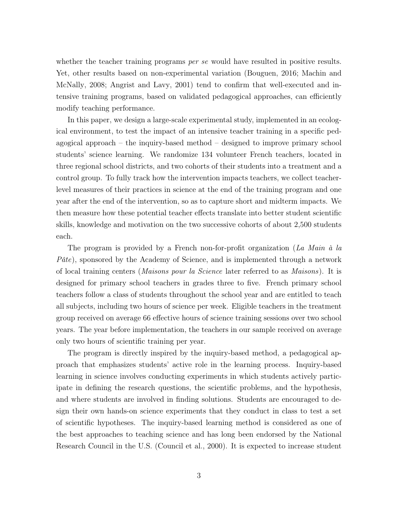whether the teacher training programs *per se* would have resulted in positive results. Yet, other results based on non-experimental variation [\(Bouguen,](#page-40-5) [2016;](#page-40-5) [Machin and](#page-42-1) [McNally,](#page-42-1) [2008;](#page-42-1) [Angrist and Lavy,](#page-40-6) [2001\)](#page-40-6) tend to confirm that well-executed and intensive training programs, based on validated pedagogical approaches, can efficiently modify teaching performance.

In this paper, we design a large-scale experimental study, implemented in an ecological environment, to test the impact of an intensive teacher training in a specific pedagogical approach – the inquiry-based method – designed to improve primary school students' science learning. We randomize 134 volunteer French teachers, located in three regional school districts, and two cohorts of their students into a treatment and a control group. To fully track how the intervention impacts teachers, we collect teacherlevel measures of their practices in science at the end of the training program and one year after the end of the intervention, so as to capture short and midterm impacts. We then measure how these potential teacher effects translate into better student scientific skills, knowledge and motivation on the two successive cohorts of about 2,500 students each.

The program is provided by a French non-for-profit organization (La Main à la  $P\hat{a}te$ , sponsored by the Academy of Science, and is implemented through a network of local training centers (Maisons pour la Science later referred to as Maisons). It is designed for primary school teachers in grades three to five. French primary school teachers follow a class of students throughout the school year and are entitled to teach all subjects, including two hours of science per week. Eligible teachers in the treatment group received on average 66 effective hours of science training sessions over two school years. The year before implementation, the teachers in our sample received on average only two hours of scientific training per year.

The program is directly inspired by the inquiry-based method, a pedagogical approach that emphasizes students' active role in the learning process. Inquiry-based learning in science involves conducting experiments in which students actively participate in defining the research questions, the scientific problems, and the hypothesis, and where students are involved in finding solutions. Students are encouraged to design their own hands-on science experiments that they conduct in class to test a set of scientific hypotheses. The inquiry-based learning method is considered as one of the best approaches to teaching science and has long been endorsed by the National Research Council in the U.S. [\(Council et al.,](#page-41-7) [2000\)](#page-41-7). It is expected to increase student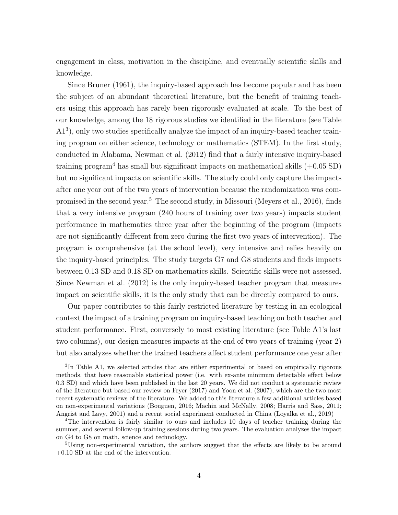engagement in class, motivation in the discipline, and eventually scientific skills and knowledge.

Since [Bruner](#page-40-7) [\(1961\)](#page-40-7), the inquiry-based approach has become popular and has been the subject of an abundant theoretical literature, but the benefit of training teachers using this approach has rarely been rigorously evaluated at scale. To the best of our knowledge, among the 18 rigorous studies we identified in the literature (see Table [A1](#page-44-0)<sup>[3](#page-3-0)</sup>), only two studies specifically analyze the impact of an inquiry-based teacher training program on either science, technology or mathematics (STEM). In the first study, conducted in Alabama, [Newman et al.](#page-42-2) [\(2012\)](#page-42-2) find that a fairly intensive inquiry-based training program<sup>[4](#page-3-1)</sup> has small but significant impacts on mathematical skills  $(+0.05 S)$ but no significant impacts on scientific skills. The study could only capture the impacts after one year out of the two years of intervention because the randomization was com-promised in the second year.<sup>[5](#page-3-2)</sup> The second study, in Missouri [\(Meyers et al.,](#page-42-3) [2016\)](#page-42-3), finds that a very intensive program (240 hours of training over two years) impacts student performance in mathematics three year after the beginning of the program (impacts are not significantly different from zero during the first two years of intervention). The program is comprehensive (at the school level), very intensive and relies heavily on the inquiry-based principles. The study targets G7 and G8 students and finds impacts between 0.13 SD and 0.18 SD on mathematics skills. Scientific skills were not assessed. Since [Newman et al.](#page-42-2) [\(2012\)](#page-42-2) is the only inquiry-based teacher program that measures impact on scientific skills, it is the only study that can be directly compared to ours.

Our paper contributes to this fairly restricted literature by testing in an ecological context the impact of a training program on inquiry-based teaching on both teacher and student performance. First, conversely to most existing literature (see Table [A1'](#page-44-0)s last two columns), our design measures impacts at the end of two years of training (year 2) but also analyzes whether the trained teachers affect student performance one year after

<span id="page-3-0"></span><sup>&</sup>lt;sup>3</sup>In Table [A1,](#page-44-0) we selected articles that are either experimental or based on empirically rigorous methods, that have reasonable statistical power (i.e. with ex-ante minimum detectable effect below 0.3 SD) and which have been published in the last 20 years. We did not conduct a systematic review of the literature but based our review on [Fryer](#page-41-3) [\(2017\)](#page-41-3) and [Yoon et al.](#page-43-6) [\(2007\)](#page-43-6), which are the two most recent systematic reviews of the literature. We added to this literature a few additional articles based on non-experimental variations [\(Bouguen,](#page-40-5) [2016;](#page-40-5) [Machin and McNally,](#page-42-1) [2008;](#page-42-1) [Harris and Sass,](#page-41-4) [2011;](#page-41-4) [Angrist and Lavy,](#page-40-6) [2001\)](#page-40-6) and a recent social experiment conducted in China [\(Loyalka et al.,](#page-42-0) [2019\)](#page-42-0)

<span id="page-3-1"></span><sup>&</sup>lt;sup>4</sup>The intervention is fairly similar to ours and includes 10 days of teacher training during the summer, and several follow-up training sessions during two years. The evaluation analyzes the impact on G4 to G8 on math, science and technology.

<span id="page-3-2"></span><sup>&</sup>lt;sup>5</sup>Using non-experimental variation, the authors suggest that the effects are likely to be around +0.10 SD at the end of the intervention.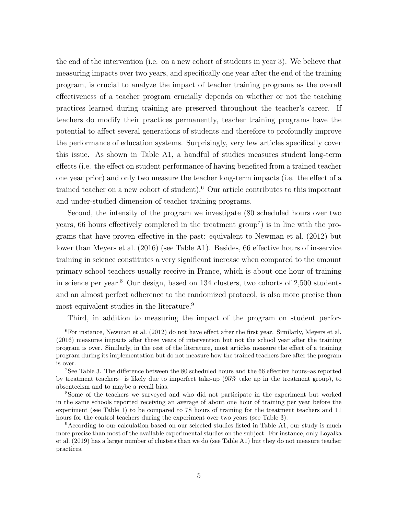the end of the intervention (i.e. on a new cohort of students in year 3). We believe that measuring impacts over two years, and specifically one year after the end of the training program, is crucial to analyze the impact of teacher training programs as the overall effectiveness of a teacher program crucially depends on whether or not the teaching practices learned during training are preserved throughout the teacher's career. If teachers do modify their practices permanently, teacher training programs have the potential to affect several generations of students and therefore to profoundly improve the performance of education systems. Surprisingly, very few articles specifically cover this issue. As shown in Table [A1,](#page-44-0) a handful of studies measures student long-term effects (i.e. the effect on student performance of having benefited from a trained teacher one year prior) and only two measure the teacher long-term impacts (i.e. the effect of a trained teacher on a new cohort of student).[6](#page-4-0) Our article contributes to this important and under-studied dimension of teacher training programs.

Second, the intensity of the program we investigate (80 scheduled hours over two years, 66 hours effectively completed in the treatment group<sup>[7](#page-4-1)</sup>) is in line with the programs that have proven effective in the past: equivalent to [Newman et al.](#page-42-2) [\(2012\)](#page-42-2) but lower than [Meyers et al.](#page-42-3) [\(2016\)](#page-42-3) (see Table [A1\)](#page-44-0). Besides, 66 effective hours of in-service training in science constitutes a very significant increase when compared to the amount primary school teachers usually receive in France, which is about one hour of training in science per year.[8](#page-4-2) Our design, based on 134 clusters, two cohorts of 2,500 students and an almost perfect adherence to the randomized protocol, is also more precise than most equivalent studies in the literature.<sup>[9](#page-4-3)</sup>

<span id="page-4-0"></span>Third, in addition to measuring the impact of the program on student perfor-

 $6$ For instance, [Newman et al.](#page-42-2) [\(2012\)](#page-42-2) do not have effect after the first year. Similarly, [Meyers et al.](#page-42-3) [\(2016\)](#page-42-3) measures impacts after three years of intervention but not the school year after the training program is over. Similarly, in the rest of the literature, most articles measure the effect of a training program during its implementation but do not measure how the trained teachers fare after the program is over.

<span id="page-4-1"></span><sup>&</sup>lt;sup>7</sup>See Table [3.](#page-20-0) The difference between the 80 scheduled hours and the 66 effective hours–as reported by treatment teachers– is likely due to imperfect take-up (95% take up in the treatment group), to absenteeism and to maybe a recall bias.

<span id="page-4-2"></span><sup>8</sup>Some of the teachers we surveyed and who did not participate in the experiment but worked in the same schools reported receiving an average of about one hour of training per year before the experiment (see Table [1\)](#page-16-0) to be compared to 78 hours of training for the treatment teachers and 11 hours for the control teachers during the experiment over two years (see Table [3\)](#page-20-0).

<span id="page-4-3"></span><sup>9</sup>According to our calculation based on our selected studies listed in Table [A1,](#page-44-0) our study is much more precise than most of the available experimental studies on the subject. For instance, only [Loyalka](#page-42-0) [et al.](#page-42-0) [\(2019\)](#page-42-0) has a larger number of clusters than we do (see Table [A1\)](#page-44-0) but they do not measure teacher practices.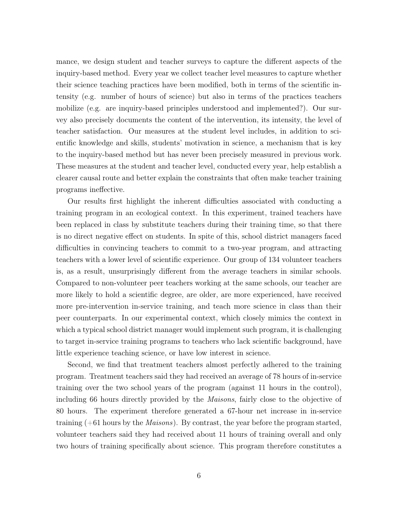mance, we design student and teacher surveys to capture the different aspects of the inquiry-based method. Every year we collect teacher level measures to capture whether their science teaching practices have been modified, both in terms of the scientific intensity (e.g. number of hours of science) but also in terms of the practices teachers mobilize (e.g. are inquiry-based principles understood and implemented?). Our survey also precisely documents the content of the intervention, its intensity, the level of teacher satisfaction. Our measures at the student level includes, in addition to scientific knowledge and skills, students' motivation in science, a mechanism that is key to the inquiry-based method but has never been precisely measured in previous work. These measures at the student and teacher level, conducted every year, help establish a clearer causal route and better explain the constraints that often make teacher training programs ineffective.

Our results first highlight the inherent difficulties associated with conducting a training program in an ecological context. In this experiment, trained teachers have been replaced in class by substitute teachers during their training time, so that there is no direct negative effect on students. In spite of this, school district managers faced difficulties in convincing teachers to commit to a two-year program, and attracting teachers with a lower level of scientific experience. Our group of 134 volunteer teachers is, as a result, unsurprisingly different from the average teachers in similar schools. Compared to non-volunteer peer teachers working at the same schools, our teacher are more likely to hold a scientific degree, are older, are more experienced, have received more pre-intervention in-service training, and teach more science in class than their peer counterparts. In our experimental context, which closely mimics the context in which a typical school district manager would implement such program, it is challenging to target in-service training programs to teachers who lack scientific background, have little experience teaching science, or have low interest in science.

Second, we find that treatment teachers almost perfectly adhered to the training program. Treatment teachers said they had received an average of 78 hours of in-service training over the two school years of the program (against 11 hours in the control), including 66 hours directly provided by the Maisons, fairly close to the objective of 80 hours. The experiment therefore generated a 67-hour net increase in in-service training  $(+61$  hours by the *Maisons*). By contrast, the year before the program started, volunteer teachers said they had received about 11 hours of training overall and only two hours of training specifically about science. This program therefore constitutes a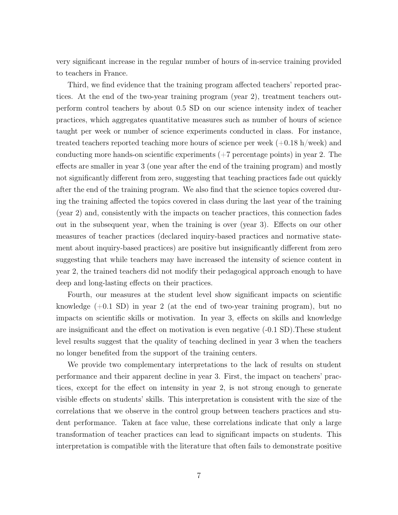very significant increase in the regular number of hours of in-service training provided to teachers in France.

Third, we find evidence that the training program affected teachers' reported practices. At the end of the two-year training program (year 2), treatment teachers outperform control teachers by about 0.5 SD on our science intensity index of teacher practices, which aggregates quantitative measures such as number of hours of science taught per week or number of science experiments conducted in class. For instance, treated teachers reported teaching more hours of science per week  $(+0.18 \text{ h/week})$  and conducting more hands-on scientific experiments  $(+7$  percentage points) in year 2. The effects are smaller in year 3 (one year after the end of the training program) and mostly not significantly different from zero, suggesting that teaching practices fade out quickly after the end of the training program. We also find that the science topics covered during the training affected the topics covered in class during the last year of the training (year 2) and, consistently with the impacts on teacher practices, this connection fades out in the subsequent year, when the training is over (year 3). Effects on our other measures of teacher practices (declared inquiry-based practices and normative statement about inquiry-based practices) are positive but insignificantly different from zero suggesting that while teachers may have increased the intensity of science content in year 2, the trained teachers did not modify their pedagogical approach enough to have deep and long-lasting effects on their practices.

Fourth, our measures at the student level show significant impacts on scientific knowledge  $(+0.1 \text{ SD})$  in year 2 (at the end of two-year training program), but no impacts on scientific skills or motivation. In year 3, effects on skills and knowledge are insignificant and the effect on motivation is even negative (-0.1 SD).These student level results suggest that the quality of teaching declined in year 3 when the teachers no longer benefited from the support of the training centers.

We provide two complementary interpretations to the lack of results on student performance and their apparent decline in year 3. First, the impact on teachers' practices, except for the effect on intensity in year 2, is not strong enough to generate visible effects on students' skills. This interpretation is consistent with the size of the correlations that we observe in the control group between teachers practices and student performance. Taken at face value, these correlations indicate that only a large transformation of teacher practices can lead to significant impacts on students. This interpretation is compatible with the literature that often fails to demonstrate positive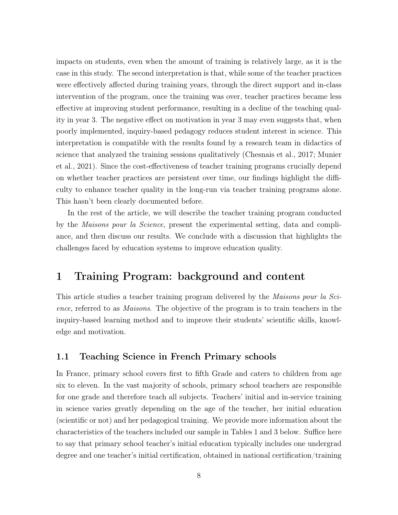impacts on students, even when the amount of training is relatively large, as it is the case in this study. The second interpretation is that, while some of the teacher practices were effectively affected during training years, through the direct support and in-class intervention of the program, once the training was over, teacher practices became less effective at improving student performance, resulting in a decline of the teaching quality in year 3. The negative effect on motivation in year 3 may even suggests that, when poorly implemented, inquiry-based pedagogy reduces student interest in science. This interpretation is compatible with the results found by a research team in didactics of science that analyzed the training sessions qualitatively [\(Chesnais et al.,](#page-40-8) [2017;](#page-40-8) [Munier](#page-42-4) [et al.,](#page-42-4) [2021\)](#page-42-4). Since the cost-effectiveness of teacher training programs crucially depend on whether teacher practices are persistent over time, our findings highlight the difficulty to enhance teacher quality in the long-run via teacher training programs alone. This hasn't been clearly documented before.

In the rest of the article, we will describe the teacher training program conducted by the Maisons pour la Science, present the experimental setting, data and compliance, and then discuss our results. We conclude with a discussion that highlights the challenges faced by education systems to improve education quality.

# 1 Training Program: background and content

This article studies a teacher training program delivered by the Maisons pour la Science, referred to as Maisons. The objective of the program is to train teachers in the inquiry-based learning method and to improve their students' scientific skills, knowledge and motivation.

### <span id="page-7-0"></span>1.1 Teaching Science in French Primary schools

In France, primary school covers first to fifth Grade and caters to children from age six to eleven. In the vast majority of schools, primary school teachers are responsible for one grade and therefore teach all subjects. Teachers' initial and in-service training in science varies greatly depending on the age of the teacher, her initial education (scientific or not) and her pedagogical training. We provide more information about the characteristics of the teachers included our sample in Tables [1](#page-16-0) and [3](#page-20-0) below. Suffice here to say that primary school teacher's initial education typically includes one undergrad degree and one teacher's initial certification, obtained in national certification/training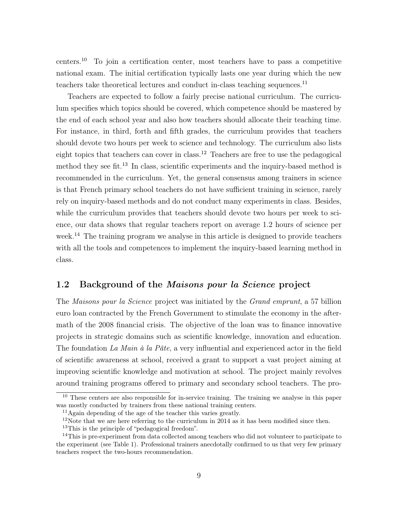centers.[10](#page-8-0) To join a certification center, most teachers have to pass a competitive national exam. The initial certification typically lasts one year during which the new teachers take theoretical lectures and conduct in-class teaching sequences.<sup>[11](#page-8-1)</sup>

Teachers are expected to follow a fairly precise national curriculum. The curriculum specifies which topics should be covered, which competence should be mastered by the end of each school year and also how teachers should allocate their teaching time. For instance, in third, forth and fifth grades, the curriculum provides that teachers should devote two hours per week to science and technology. The curriculum also lists eight topics that teachers can cover in class.<sup>[12](#page-8-2)</sup> Teachers are free to use the pedagogical method they see fit.<sup>[13](#page-8-3)</sup> In class, scientific experiments and the inquiry-based method is recommended in the curriculum. Yet, the general consensus among trainers in science is that French primary school teachers do not have sufficient training in science, rarely rely on inquiry-based methods and do not conduct many experiments in class. Besides, while the curriculum provides that teachers should devote two hours per week to science, our data shows that regular teachers report on average 1.2 hours of science per week.<sup>[14](#page-8-4)</sup> The training program we analyse in this article is designed to provide teachers with all the tools and competences to implement the inquiry-based learning method in class.

### 1.2 Background of the Maisons pour la Science project

The Maisons pour la Science project was initiated by the Grand emprunt, a 57 billion euro loan contracted by the French Government to stimulate the economy in the aftermath of the 2008 financial crisis. The objective of the loan was to finance innovative projects in strategic domains such as scientific knowledge, innovation and education. The foundation La Main à la Pâte, a very influential and experienced actor in the field of scientific awareness at school, received a grant to support a vast project aiming at improving scientific knowledge and motivation at school. The project mainly revolves around training programs offered to primary and secondary school teachers. The pro-

<span id="page-8-0"></span><sup>&</sup>lt;sup>10</sup> These centers are also responsible for in-service training. The training we analyse in this paper was mostly conducted by trainers from these national training centers.

<span id="page-8-1"></span><sup>11</sup>Again depending of the age of the teacher this varies greatly.

<span id="page-8-2"></span><sup>&</sup>lt;sup>12</sup>Note that we are here referring to the curriculum in 2014 as it has been modified since then.

<span id="page-8-4"></span><span id="page-8-3"></span><sup>&</sup>lt;sup>13</sup>This is the principle of "pedagogical freedom".

<sup>&</sup>lt;sup>14</sup>This is pre-experiment from data collected among teachers who did not volunteer to participate to the experiment (see Table [1\)](#page-16-0). Professional trainers anecdotally confirmed to us that very few primary teachers respect the two-hours recommendation.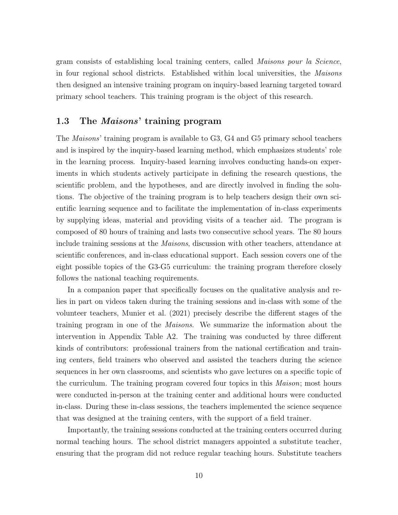gram consists of establishing local training centers, called Maisons pour la Science, in four regional school districts. Established within local universities, the Maisons then designed an intensive training program on inquiry-based learning targeted toward primary school teachers. This training program is the object of this research.

### 1.3 The Maisons' training program

The Maisons' training program is available to G3, G4 and G5 primary school teachers and is inspired by the inquiry-based learning method, which emphasizes students' role in the learning process. Inquiry-based learning involves conducting hands-on experiments in which students actively participate in defining the research questions, the scientific problem, and the hypotheses, and are directly involved in finding the solutions. The objective of the training program is to help teachers design their own scientific learning sequence and to facilitate the implementation of in-class experiments by supplying ideas, material and providing visits of a teacher aid. The program is composed of 80 hours of training and lasts two consecutive school years. The 80 hours include training sessions at the Maisons, discussion with other teachers, attendance at scientific conferences, and in-class educational support. Each session covers one of the eight possible topics of the G3-G5 curriculum: the training program therefore closely follows the national teaching requirements.

In a companion paper that specifically focuses on the qualitative analysis and relies in part on videos taken during the training sessions and in-class with some of the volunteer teachers, [Munier et al.](#page-42-4) [\(2021\)](#page-42-4) precisely describe the different stages of the training program in one of the Maisons. We summarize the information about the intervention in Appendix Table [A2.](#page-45-0) The training was conducted by three different kinds of contributors: professional trainers from the national certification and training centers, field trainers who observed and assisted the teachers during the science sequences in her own classrooms, and scientists who gave lectures on a specific topic of the curriculum. The training program covered four topics in this Maison; most hours were conducted in-person at the training center and additional hours were conducted in-class. During these in-class sessions, the teachers implemented the science sequence that was designed at the training centers, with the support of a field trainer.

Importantly, the training sessions conducted at the training centers occurred during normal teaching hours. The school district managers appointed a substitute teacher, ensuring that the program did not reduce regular teaching hours. Substitute teachers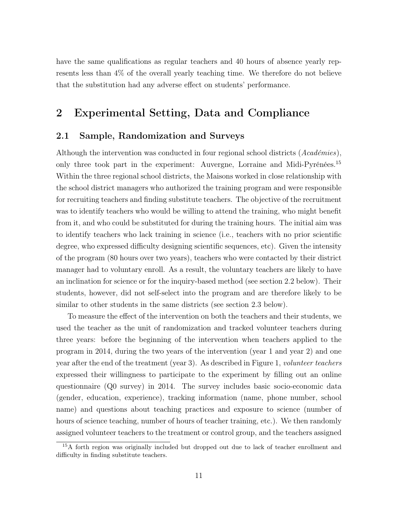have the same qualifications as regular teachers and 40 hours of absence yearly represents less than 4% of the overall yearly teaching time. We therefore do not believe that the substitution had any adverse effect on students' performance.

### 2 Experimental Setting, Data and Compliance

### <span id="page-10-1"></span>2.1 Sample, Randomization and Surveys

Although the intervention was conducted in four regional school districts (Académies), only three took part in the experiment: Auvergne, Lorraine and Midi-Pyrénées.<sup>[15](#page-10-0)</sup> Within the three regional school districts, the Maisons worked in close relationship with the school district managers who authorized the training program and were responsible for recruiting teachers and finding substitute teachers. The objective of the recruitment was to identify teachers who would be willing to attend the training, who might benefit from it, and who could be substituted for during the training hours. The initial aim was to identify teachers who lack training in science (i.e., teachers with no prior scientific degree, who expressed difficulty designing scientific sequences, etc). Given the intensity of the program (80 hours over two years), teachers who were contacted by their district manager had to voluntary enroll. As a result, the voluntary teachers are likely to have an inclination for science or for the inquiry-based method (see section [2.2](#page-14-0) below). Their students, however, did not self-select into the program and are therefore likely to be similar to other students in the same districts (see section [2.3](#page-19-0) below).

To measure the effect of the intervention on both the teachers and their students, we used the teacher as the unit of randomization and tracked volunteer teachers during three years: before the beginning of the intervention when teachers applied to the program in 2014, during the two years of the intervention (year 1 and year 2) and one year after the end of the treatment (year 3). As described in Figure [1,](#page-13-0) volunteer teachers expressed their willingness to participate to the experiment by filling out an online questionnaire (Q0 survey) in 2014. The survey includes basic socio-economic data (gender, education, experience), tracking information (name, phone number, school name) and questions about teaching practices and exposure to science (number of hours of science teaching, number of hours of teacher training, etc.). We then randomly assigned volunteer teachers to the treatment or control group, and the teachers assigned

<span id="page-10-0"></span><sup>&</sup>lt;sup>15</sup>A forth region was originally included but dropped out due to lack of teacher enrollment and difficulty in finding substitute teachers.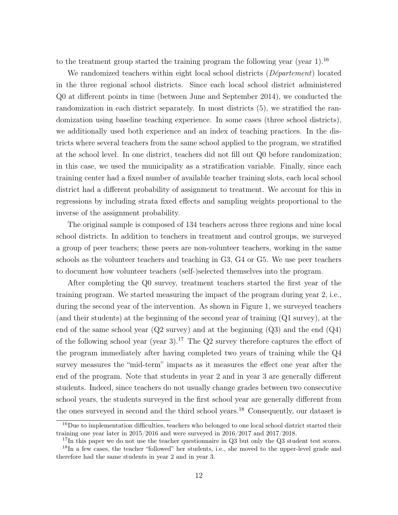to the treatment group started the training program the following year (year 1).<sup>[16](#page-11-0)</sup>

We randomized teachers within eight local school districts (*Département*) located in the three regional school districts. Since each local school district administered Q0 at different points in time (between June and September 2014), we conducted the randomization in each district separately. In most districts (5), we stratified the randomization using baseline teaching experience. In some cases (three school districts), we additionally used both experience and an index of teaching practices. In the districts where several teachers from the same school applied to the program, we stratified at the school level. In one district, teachers did not fill out Q0 before randomization; in this case, we used the municipality as a stratification variable. Finally, since each training center had a fixed number of available teacher training slots, each local school district had a different probability of assignment to treatment. We account for this in regressions by including strata fixed effects and sampling weights proportional to the inverse of the assignment probability.

The original sample is composed of 134 teachers across three regions and nine local school districts. In addition to teachers in treatment and control groups, we surveyed a group of peer teachers; these peers are non-volunteer teachers, working in the same schools as the volunteer teachers and teaching in G3, G4 or G5. We use peer teachers to document how volunteer teachers (self-)selected themselves into the program.

After completing the Q0 survey, treatment teachers started the first year of the training program. We started measuring the impact of the program during year 2, i.e., during the second year of the intervention. As shown in Figure [1,](#page-13-0) we surveyed teachers (and their students) at the beginning of the second year of training (Q1 survey), at the end of the same school year  $(Q2 \text{ survey})$  and at the beginning  $(Q3)$  and the end  $(Q4)$ of the following school year (year 3).<sup>[17](#page-11-1)</sup> The Q2 survey therefore captures the effect of the program immediately after having completed two years of training while the Q4 survey measures the "mid-term" impacts as it measures the effect one year after the end of the program. Note that students in year 2 and in year 3 are generally different students. Indeed, since teachers do not usually change grades between two consecutive school years, the students surveyed in the first school year are generally different from the ones surveyed in second and the third school years.[18](#page-11-2) Consequently, our dataset is

<span id="page-11-0"></span> $16$ Due to implementation difficulties, teachers who belonged to one local school district started their training one year later in 2015/2016 and were surveyed in 2016/2017 and 2017/2018.

<span id="page-11-2"></span><span id="page-11-1"></span><sup>&</sup>lt;sup>17</sup>In this paper we do not use the teacher questionnaire in Q3 but only the Q3 student test scores.

<sup>&</sup>lt;sup>18</sup>In a few cases, the teacher "followed" her students, i.e., she moved to the upper-level grade and therefore had the same students in year 2 and in year 3.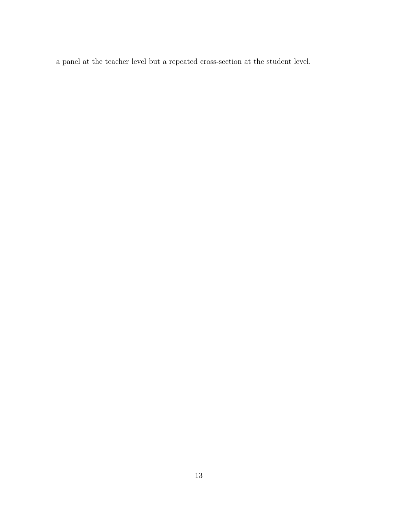a panel at the teacher level but a repeated cross-section at the student level.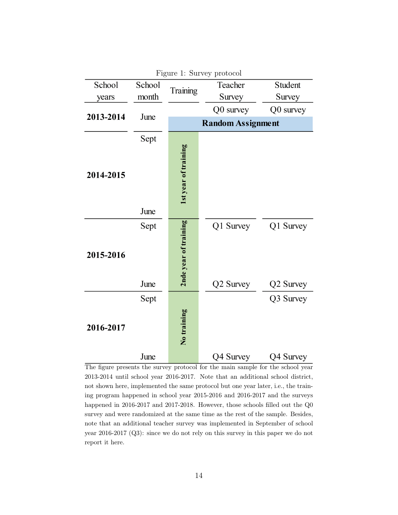<span id="page-13-0"></span>

|           |        |                       | Figure 1: Survey protocol |           |
|-----------|--------|-----------------------|---------------------------|-----------|
| School    | School | Training              | Teacher                   | Student   |
| years     | month  |                       | Survey                    | Survey    |
|           | June   |                       | Q0 survey                 | Q0 survey |
| 2013-2014 |        |                       | <b>Random Assignment</b>  |           |
| 2014-2015 | Sept   | 1st year of training  |                           |           |
| June      |        |                       |                           |           |
| 2015-2016 | Sept   | 2nde year of training | Q1 Survey                 | Q1 Survey |
|           | June   |                       | Q2 Survey                 | Q2 Survey |
| 2016-2017 | Sept   | No training           |                           | Q3 Survey |
|           | June   |                       | Q4 Survey                 | Q4 Survey |

The figure presents the survey protocol for the main sample for the school year 2013-2014 until school year 2016-2017. Note that an additional school district, not shown here, implemented the same protocol but one year later, i.e., the training program happened in school year 2015-2016 and 2016-2017 and the surveys happened in 2016-2017 and 2017-2018. However, those schools filled out the Q0 survey and were randomized at the same time as the rest of the sample. Besides, note that an additional teacher survey was implemented in September of school year 2016-2017 (Q3): since we do not rely on this survey in this paper we do not report it here.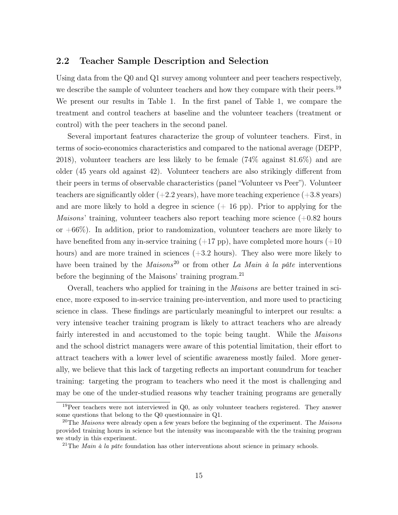#### <span id="page-14-0"></span>2.2 Teacher Sample Description and Selection

Using data from the Q0 and Q1 survey among volunteer and peer teachers respectively, we describe the sample of volunteer teachers and how they compare with their peers.<sup>[19](#page-14-1)</sup> We present our results in Table [1.](#page-16-0) In the first panel of Table [1,](#page-16-0) we compare the treatment and control teachers at baseline and the volunteer teachers (treatment or control) with the peer teachers in the second panel.

Several important features characterize the group of volunteer teachers. First, in terms of socio-economics characteristics and compared to the national average [\(DEPP,](#page-41-8) [2018\)](#page-41-8), volunteer teachers are less likely to be female (74% against 81.6%) and are older (45 years old against 42). Volunteer teachers are also strikingly different from their peers in terms of observable characteristics (panel "Volunteer vs Peer"). Volunteer teachers are significantly older  $(+2.2 \text{ years})$ , have more teaching experience  $(+3.8 \text{ years})$ and are more likely to hold a degree in science  $(+ 16 \text{ pp})$ . Prior to applying for the *Maisons*' training, volunteer teachers also report teaching more science  $(+0.82$  hours or  $+66\%$ ). In addition, prior to randomization, volunteer teachers are more likely to have benefited from any in-service training  $(+17 \text{ pp})$ , have completed more hours  $(+10 \text{ pp})$ hours) and are more trained in sciences  $(+3.2 \text{ hours})$ . They also were more likely to have been trained by the  $Maisons<sup>20</sup>$  $Maisons<sup>20</sup>$  $Maisons<sup>20</sup>$  or from other La Main à la pâte interventions before the beginning of the Maisons' training program.<sup>[21](#page-14-3)</sup>

Overall, teachers who applied for training in the Maisons are better trained in science, more exposed to in-service training pre-intervention, and more used to practicing science in class. These findings are particularly meaningful to interpret our results: a very intensive teacher training program is likely to attract teachers who are already fairly interested in and accustomed to the topic being taught. While the *Maisons* and the school district managers were aware of this potential limitation, their effort to attract teachers with a lower level of scientific awareness mostly failed. More generally, we believe that this lack of targeting reflects an important conundrum for teacher training: targeting the program to teachers who need it the most is challenging and may be one of the under-studied reasons why teacher training programs are generally

<span id="page-14-1"></span> $19$ Peer teachers were not interviewed in Q0, as only volunteer teachers registered. They answer some questions that belong to the Q0 questionnaire in Q1.

<span id="page-14-2"></span><sup>&</sup>lt;sup>20</sup>The *Maisons* were already open a few years before the beginning of the experiment. The *Maisons* provided training hours in science but the intensity was incomparable with the the training program we study in this experiment.

<span id="page-14-3"></span><sup>&</sup>lt;sup>21</sup>The *Main à la pâte* foundation has other interventions about science in primary schools.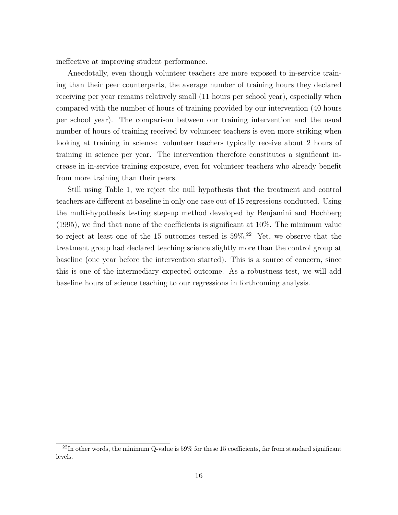ineffective at improving student performance.

Anecdotally, even though volunteer teachers are more exposed to in-service training than their peer counterparts, the average number of training hours they declared receiving per year remains relatively small (11 hours per school year), especially when compared with the number of hours of training provided by our intervention (40 hours per school year). The comparison between our training intervention and the usual number of hours of training received by volunteer teachers is even more striking when looking at training in science: volunteer teachers typically receive about 2 hours of training in science per year. The intervention therefore constitutes a significant increase in in-service training exposure, even for volunteer teachers who already benefit from more training than their peers.

Still using Table [1,](#page-16-0) we reject the null hypothesis that the treatment and control teachers are different at baseline in only one case out of 15 regressions conducted. Using the multi-hypothesis testing step-up method developed by [Benjamini and Hochberg](#page-40-9) [\(1995\)](#page-40-9), we find that none of the coefficients is significant at 10%. The minimum value to reject at least one of the 15 outcomes tested is 59%.[22](#page-15-0) Yet, we observe that the treatment group had declared teaching science slightly more than the control group at baseline (one year before the intervention started). This is a source of concern, since this is one of the intermediary expected outcome. As a robustness test, we will add baseline hours of science teaching to our regressions in forthcoming analysis.

<span id="page-15-0"></span> $^{22}$ In other words, the minimum Q-value is 59% for these 15 coefficients, far from standard significant levels.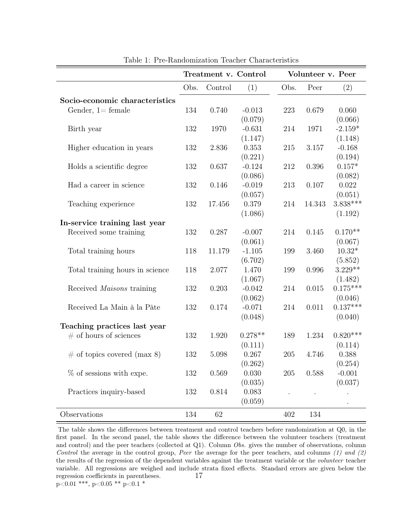<span id="page-16-0"></span>

|                                  |      | Treatment v. Control |           |         | Volunteer v. Peer |            |
|----------------------------------|------|----------------------|-----------|---------|-------------------|------------|
|                                  | Obs. | Control              | (1)       | Obs.    | Peer              | (2)        |
| Socio-economic characteristics   |      |                      |           |         |                   |            |
| Gender, $1 = \text{female}$      | 134  | 0.740                | $-0.013$  | 223     | 0.679             | 0.060      |
|                                  |      |                      | (0.079)   |         |                   | (0.066)    |
| Birth year                       | 132  | 1970                 | $-0.631$  | 214     | 1971              | $-2.159*$  |
|                                  |      |                      | (1.147)   |         |                   | (1.148)    |
| Higher education in years        | 132  | 2.836                | 0.353     | 215     | 3.157             | $-0.168$   |
|                                  |      |                      | (0.221)   |         |                   | (0.194)    |
| Holds a scientific degree        | 132  | 0.637                | $-0.124$  | 212     | 0.396             | $0.157*$   |
|                                  |      |                      | (0.086)   |         |                   | (0.082)    |
| Had a career in science          | 132  | 0.146                | $-0.019$  | 213     | 0.107             | 0.022      |
|                                  |      |                      | (0.057)   |         |                   | (0.051)    |
| Teaching experience              | 132  | 17.456               | 0.379     | 214     | 14.343            | $3.838***$ |
|                                  |      |                      | (1.086)   |         |                   | (1.192)    |
| In-service training last year    |      |                      |           |         |                   |            |
| Received some training           | 132  | 0.287                | $-0.007$  | 214     | 0.145             | $0.170**$  |
|                                  |      |                      | (0.061)   |         |                   | (0.067)    |
| Total training hours             | 118  | 11.179               | $-1.105$  | 199     | 3.460             | $10.32*$   |
|                                  |      |                      | (6.702)   |         |                   | (5.852)    |
| Total training hours in science  | 118  | 2.077                | 1.470     | 199     | 0.996             | $3.229**$  |
|                                  |      |                      | (1.067)   |         |                   | (1.482)    |
| Received <i>Maisons</i> training | 132  | 0.203                | $-0.042$  | 214     | 0.015             | $0.175***$ |
|                                  |      |                      | (0.062)   |         |                   | (0.046)    |
| Received La Main à la Pâte       | 132  | 0.174                | $-0.071$  | 214     | 0.011             | $0.137***$ |
|                                  |      |                      | (0.048)   |         |                   | (0.040)    |
| Teaching practices last year     |      |                      |           |         |                   |            |
| $\#$ of hours of sciences        | 132  | 1.920                | $0.278**$ | 189     | 1.234             | $0.820***$ |
|                                  |      |                      | (0.111)   |         |                   | (0.114)    |
| $\#$ of topics covered (max 8)   | 132  | 5.098                | 0.267     | 205     | 4.746             | 0.388      |
|                                  |      |                      | (0.262)   |         |                   | (0.254)    |
| $\%$ of sessions with expe.      | 132  | 0.569                | 0.030     | $205\,$ | 0.588             | $-0.001$   |
|                                  |      |                      | (0.035)   |         |                   | (0.037)    |
| Practices inquiry-based          | 132  | 0.814                | 0.083     |         |                   |            |
|                                  |      |                      | (0.059)   |         |                   |            |
| Observations                     | 134  | 62                   |           | 402     | 134               |            |

Table 1: Pre-Randomization Teacher Characteristics

The table shows the differences between treatment and control teachers before randomization at Q0, in the first panel. In the second panel, the table shows the difference between the volunteer teachers (treatment and control) and the peer teachers (collected at Q1). Column Obs. gives the number of observations, column Control the average in the control group, Peer the average for the peer teachers, and columns  $(1)$  and  $(2)$ the results of the regression of the dependent variables against the treatment variable or the volunteer teacher variable. All regressions are weighed and include strata fixed effects. Standard errors are given below the regression coefficients in parentheses.  $p<0.01$  \*\*\*,  $p<0.05$  \*\*  $p<0.1$  \* 17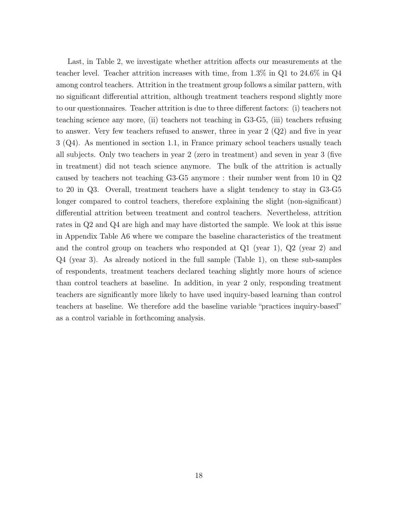Last, in Table [2,](#page-18-0) we investigate whether attrition affects our measurements at the teacher level. Teacher attrition increases with time, from 1.3% in Q1 to 24.6% in Q4 among control teachers. Attrition in the treatment group follows a similar pattern, with no significant differential attrition, although treatment teachers respond slightly more to our questionnaires. Teacher attrition is due to three different factors: (i) teachers not teaching science any more, (ii) teachers not teaching in G3-G5, (iii) teachers refusing to answer. Very few teachers refused to answer, three in year 2 (Q2) and five in year 3 (Q4). As mentioned in section [1.1,](#page-7-0) in France primary school teachers usually teach all subjects. Only two teachers in year 2 (zero in treatment) and seven in year 3 (five in treatment) did not teach science anymore. The bulk of the attrition is actually caused by teachers not teaching G3-G5 anymore : their number went from 10 in Q2 to 20 in Q3. Overall, treatment teachers have a slight tendency to stay in G3-G5 longer compared to control teachers, therefore explaining the slight (non-significant) differential attrition between treatment and control teachers. Nevertheless, attrition rates in Q2 and Q4 are high and may have distorted the sample. We look at this issue in Appendix Table [A6](#page-49-0) where we compare the baseline characteristics of the treatment and the control group on teachers who responded at  $Q1$  (year 1),  $Q2$  (year 2) and Q4 (year 3). As already noticed in the full sample (Table [1\)](#page-16-0), on these sub-samples of respondents, treatment teachers declared teaching slightly more hours of science than control teachers at baseline. In addition, in year 2 only, responding treatment teachers are significantly more likely to have used inquiry-based learning than control teachers at baseline. We therefore add the baseline variable "practices inquiry-based" as a control variable in forthcoming analysis.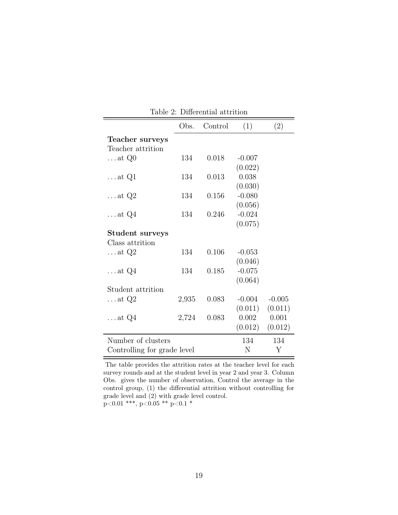<span id="page-18-0"></span>

| ригента атнич               |       |         |          |          |  |  |  |  |
|-----------------------------|-------|---------|----------|----------|--|--|--|--|
|                             | Obs.  | Control | (1)      | (2)      |  |  |  |  |
| Teacher surveys             |       |         |          |          |  |  |  |  |
| Teacher attrition           |       |         |          |          |  |  |  |  |
| $\dots$ at $Q0$             | 134   | 0.018   | $-0.007$ |          |  |  |  |  |
|                             |       |         | (0.022)  |          |  |  |  |  |
| $\dots$ at Q1               | 134   | 0.013   | 0.038    |          |  |  |  |  |
|                             |       |         | (0.030)  |          |  |  |  |  |
| $\dots$ at $Q2$             | 134   | 0.156   | $-0.080$ |          |  |  |  |  |
|                             |       |         | (0.056)  |          |  |  |  |  |
| $\dots$ at $Q4$             | 134   | 0.246   | $-0.024$ |          |  |  |  |  |
|                             |       |         | (0.075)  |          |  |  |  |  |
| Student surveys             |       |         |          |          |  |  |  |  |
| Class attrition             |       |         |          |          |  |  |  |  |
| $\dots$ at Q2               | 134   | 0.106   | $-0.053$ |          |  |  |  |  |
|                             |       |         | (0.046)  |          |  |  |  |  |
| $\dots$ at $Q4$             | 134   | 0.185   | $-0.075$ |          |  |  |  |  |
|                             |       |         | (0.064)  |          |  |  |  |  |
| Student attrition           |       |         |          |          |  |  |  |  |
| $\dots$ at Q2               | 2,935 | 0.083   | $-0.004$ | $-0.005$ |  |  |  |  |
|                             |       |         | (0.011)  | (0.011)  |  |  |  |  |
| $\dots$ at Q4               | 2,724 | 0.083   | 0.002    | 0.001    |  |  |  |  |
|                             |       |         | (0.012)  | (0.012)  |  |  |  |  |
| Number of clusters          |       |         | 134      | 134      |  |  |  |  |
| Controlling for grade level |       |         | N        | Y        |  |  |  |  |
|                             |       |         |          |          |  |  |  |  |

Table 2: Differential attrition

The table provides the attrition rates at the teacher level for each survey rounds and at the student level in year 2 and year 3. Column Obs. gives the number of observation, Control the average in the control group, (1) the differential attrition without controlling for grade level and (2) with grade level control.  $\rm p{<}0.01$  \*\*\*, p<0.05 \*\*  $\rm p{<}0.1$  \*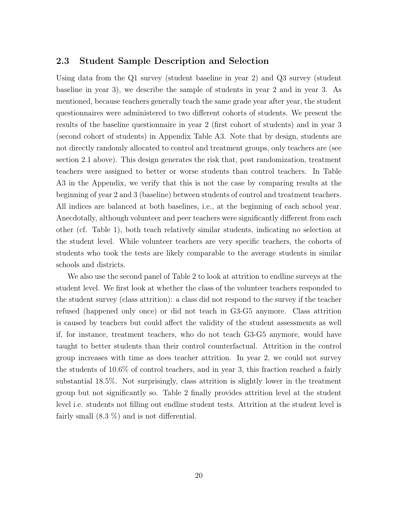### <span id="page-19-0"></span>2.3 Student Sample Description and Selection

Using data from the Q1 survey (student baseline in year 2) and Q3 survey (student baseline in year 3), we describe the sample of students in year 2 and in year 3. As mentioned, because teachers generally teach the same grade year after year, the student questionnaires were administered to two different cohorts of students. We present the results of the baseline questionnaire in year 2 (first cohort of students) and in year 3 (second cohort of students) in Appendix Table [A3.](#page-46-0) Note that by design, students are not directly randomly allocated to control and treatment groups, only teachers are (see section [2.1](#page-10-1) above). This design generates the risk that, post randomization, treatment teachers were assigned to better or worse students than control teachers. In Table [A3](#page-46-0) in the Appendix, we verify that this is not the case by comparing results at the beginning of year 2 and 3 (baseline) between students of control and treatment teachers. All indices are balanced at both baselines, i.e., at the beginning of each school year. Anecdotally, although volunteer and peer teachers were significantly different from each other (cf. Table [1\)](#page-16-0), both teach relatively similar students, indicating no selection at the student level. While volunteer teachers are very specific teachers, the cohorts of students who took the tests are likely comparable to the average students in similar schools and districts.

We also use the second panel of Table [2](#page-18-0) to look at attrition to endline surveys at the student level. We first look at whether the class of the volunteer teachers responded to the student survey (class attrition): a class did not respond to the survey if the teacher refused (happened only once) or did not teach in G3-G5 anymore. Class attrition is caused by teachers but could affect the validity of the student assessments as well if, for instance, treatment teachers, who do not teach G3-G5 anymore, would have taught to better students than their control counterfactual. Attrition in the control group increases with time as does teacher attrition. In year 2, we could not survey the students of 10.6% of control teachers, and in year 3, this fraction reached a fairly substantial 18.5%. Not surprisingly, class attrition is slightly lower in the treatment group but not significantly so. Table [2](#page-18-0) finally provides attrition level at the student level i.e. students not filling out endline student tests. Attrition at the student level is fairly small (8.3 %) and is not differential.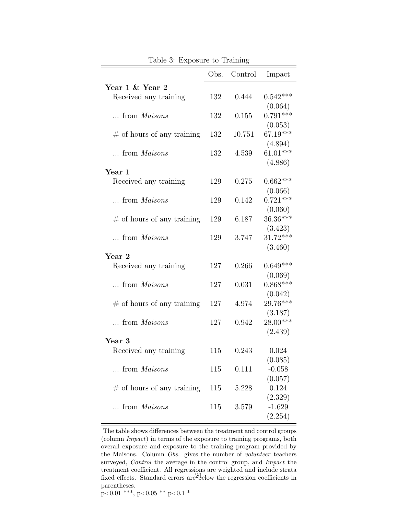<span id="page-20-0"></span>

|                               | Obs. | Control | Impact     |
|-------------------------------|------|---------|------------|
| Year 1 & Year 2               |      |         |            |
| Received any training         | 132  | 0.444   | $0.542***$ |
|                               |      |         | (0.064)    |
| from Maisons                  | 132  | 0.155   | $0.791***$ |
|                               |      |         | (0.053)    |
| $\#$ of hours of any training | 132  | 10.751  | 67.19***   |
|                               |      |         | (4.894)    |
| from <i>Maisons</i>           | 132  | 4.539   | $61.01***$ |
|                               |      |         | (4.886)    |
| $\,\rm Year\;1$               |      |         |            |
| Received any training         | 129  | 0.275   | $0.662***$ |
|                               |      |         | (0.066)    |
| $\ldots$ from <i>Maisons</i>  | 129  | 0.142   | $0.721***$ |
|                               |      |         | (0.060)    |
| $\#$ of hours of any training | 129  | 6.187   | 36.36***   |
|                               |      |         | (3.423)    |
| from Maisons                  | 129  | 3.747   | $31.72***$ |
|                               |      |         | (3.460)    |
| Year 2                        |      |         |            |
| Received any training         | 127  | 0.266   | $0.649***$ |
|                               |      |         | (0.069)    |
| from Maisons                  | 127  | 0.031   | $0.868***$ |
|                               |      |         | (0.042)    |
| $\#$ of hours of any training | 127  | 4.974   | 29.76***   |
|                               |      |         | (3.187)    |
| from Maisons                  | 127  | 0.942   | $28.00***$ |
|                               |      |         | (2.439)    |
| Year 3                        |      |         |            |
| Received any training         | 115  | 0.243   | 0.024      |
|                               |      |         | (0.085)    |
| from Maisons                  | 115  | 0.111   | $-0.058$   |
|                               |      |         | (0.057)    |
| $\#$ of hours of any training | 115  | 5.228   | 0.124      |
|                               |      |         | (2.329)    |
| from <i>Maisons</i>           | 115  | 3.579   | $-1.629$   |
|                               |      |         | (2.254)    |

Table 3: Exposure to Training

The table shows differences between the treatment and control groups (column Impact) in terms of the exposure to training programs, both overall exposure and exposure to the training program provided by the Maisons. Column Obs. gives the number of *volunteer* teachers surveyed, *Control* the average in the control group, and *Impact* the treatment coefficient. All regressions are weighted and include strata fixed effects. Standard errors are 21 elow the regression coefficients in parentheses.  $\overbrace{\text{p<}0.01^\text{***},\text{p<}0.05^\text{**} \text{p}<}0.1^\text{*}$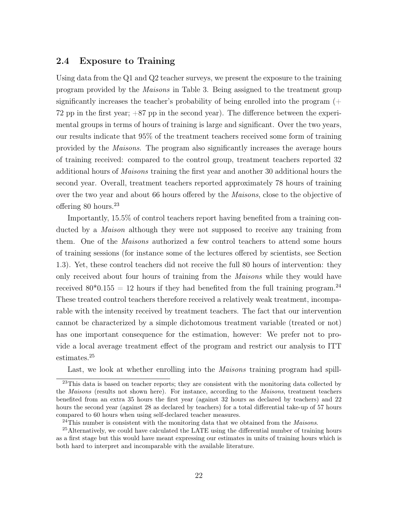### 2.4 Exposure to Training

Using data from the Q1 and Q2 teacher surveys, we present the exposure to the training program provided by the Maisons in Table [3.](#page-20-0) Being assigned to the treatment group significantly increases the teacher's probability of being enrolled into the program  $(+)$ 72 pp in the first year; +87 pp in the second year). The difference between the experimental groups in terms of hours of training is large and significant. Over the two years, our results indicate that 95% of the treatment teachers received some form of training provided by the Maisons. The program also significantly increases the average hours of training received: compared to the control group, treatment teachers reported 32 additional hours of Maisons training the first year and another 30 additional hours the second year. Overall, treatment teachers reported approximately 78 hours of training over the two year and about 66 hours offered by the *Maisons*, close to the objective of offering 80 hours.[23](#page-21-0)

Importantly, 15.5% of control teachers report having benefited from a training conducted by a Maison although they were not supposed to receive any training from them. One of the Maisons authorized a few control teachers to attend some hours of training sessions (for instance some of the lectures offered by scientists, see Section 1.3). Yet, these control teachers did not receive the full 80 hours of intervention: they only received about four hours of training from the Maisons while they would have received  $80*0.155 = 12$  hours if they had benefited from the full training program.<sup>[24](#page-21-1)</sup> These treated control teachers therefore received a relatively weak treatment, incomparable with the intensity received by treatment teachers. The fact that our intervention cannot be characterized by a simple dichotomous treatment variable (treated or not) has one important consequence for the estimation, however: We prefer not to provide a local average treatment effect of the program and restrict our analysis to ITT estimates.[25](#page-21-2)

Last, we look at whether enrolling into the *Maisons* training program had spill-

<span id="page-21-0"></span><sup>&</sup>lt;sup>23</sup>This data is based on teacher reports; they are consistent with the monitoring data collected by the Maisons (results not shown here). For instance, according to the Maisons, treatment teachers benefited from an extra 35 hours the first year (against 32 hours as declared by teachers) and 22 hours the second year (against 28 as declared by teachers) for a total differential take-up of 57 hours compared to 60 hours when using self-declared teacher measures.

<span id="page-21-2"></span><span id="page-21-1"></span> $^{24}$ This number is consistent with the monitoring data that we obtained from the *Maisons*.

<sup>&</sup>lt;sup>25</sup>Alternatively, we could have calculated the LATE using the differential number of training hours as a first stage but this would have meant expressing our estimates in units of training hours which is both hard to interpret and incomparable with the available literature.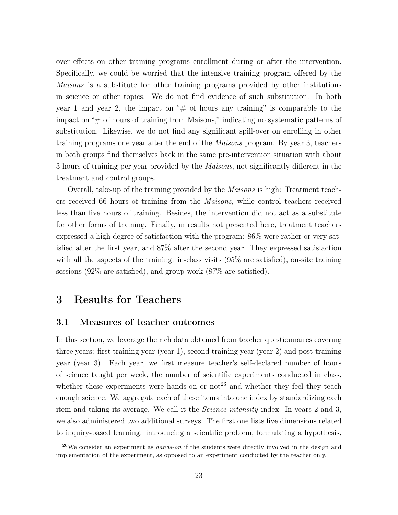over effects on other training programs enrollment during or after the intervention. Specifically, we could be worried that the intensive training program offered by the Maisons is a substitute for other training programs provided by other institutions in science or other topics. We do not find evidence of such substitution. In both year 1 and year 2, the impact on " $\#$  of hours any training" is comparable to the impact on "# of hours of training from Maisons," indicating no systematic patterns of substitution. Likewise, we do not find any significant spill-over on enrolling in other training programs one year after the end of the Maisons program. By year 3, teachers in both groups find themselves back in the same pre-intervention situation with about 3 hours of training per year provided by the Maisons, not significantly different in the treatment and control groups.

Overall, take-up of the training provided by the Maisons is high: Treatment teachers received 66 hours of training from the Maisons, while control teachers received less than five hours of training. Besides, the intervention did not act as a substitute for other forms of training. Finally, in results not presented here, treatment teachers expressed a high degree of satisfaction with the program: 86% were rather or very satisfied after the first year, and 87% after the second year. They expressed satisfaction with all the aspects of the training: in-class visits  $(95\%$  are satisfied), on-site training sessions (92% are satisfied), and group work (87% are satisfied).

### 3 Results for Teachers

### 3.1 Measures of teacher outcomes

In this section, we leverage the rich data obtained from teacher questionnaires covering three years: first training year (year 1), second training year (year 2) and post-training year (year 3). Each year, we first measure teacher's self-declared number of hours of science taught per week, the number of scientific experiments conducted in class, whether these experiments were hands-on or  $\mathrm{not}^{26}$  $\mathrm{not}^{26}$  $\mathrm{not}^{26}$  and whether they feel they teach enough science. We aggregate each of these items into one index by standardizing each item and taking its average. We call it the Science intensity index. In years 2 and 3, we also administered two additional surveys. The first one lists five dimensions related to inquiry-based learning: introducing a scientific problem, formulating a hypothesis,

<span id="page-22-0"></span> $26$ We consider an experiment as *hands-on* if the students were directly involved in the design and implementation of the experiment, as opposed to an experiment conducted by the teacher only.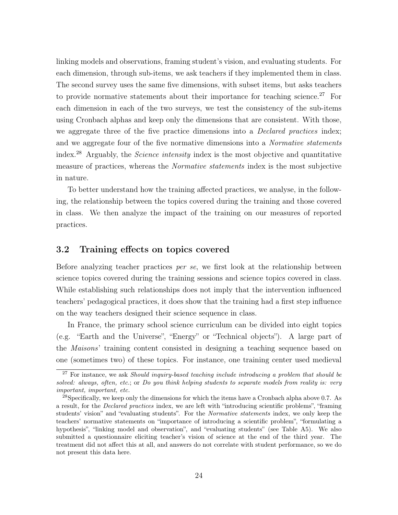linking models and observations, framing student's vision, and evaluating students. For each dimension, through sub-items, we ask teachers if they implemented them in class. The second survey uses the same five dimensions, with subset items, but asks teachers to provide normative statements about their importance for teaching science.<sup>[27](#page-23-0)</sup> For each dimension in each of the two surveys, we test the consistency of the sub-items using Cronbach alphas and keep only the dimensions that are consistent. With those, we aggregate three of the five practice dimensions into a *Declared practices* index; and we aggregate four of the five normative dimensions into a *Normative statements* index.[28](#page-23-1) Arguably, the Science intensity index is the most objective and quantitative measure of practices, whereas the Normative statements index is the most subjective in nature.

To better understand how the training affected practices, we analyse, in the following, the relationship between the topics covered during the training and those covered in class. We then analyze the impact of the training on our measures of reported practices.

### 3.2 Training effects on topics covered

Before analyzing teacher practices per se, we first look at the relationship between science topics covered during the training sessions and science topics covered in class. While establishing such relationships does not imply that the intervention influenced teachers' pedagogical practices, it does show that the training had a first step influence on the way teachers designed their science sequence in class.

In France, the primary school science curriculum can be divided into eight topics (e.g. "Earth and the Universe", "Energy" or "Technical objects"). A large part of the Maisons' training content consisted in designing a teaching sequence based on one (sometimes two) of these topics. For instance, one training center used medieval

<span id="page-23-0"></span> $27$  For instance, we ask Should inquiry-based teaching include introducing a problem that should be solved: always, often, etc.; or Do you think helping students to separate models from reality is: very important, important, etc.

<span id="page-23-1"></span><sup>&</sup>lt;sup>28</sup>Specifically, we keep only the dimensions for which the items have a Cronbach alpha above 0.7. As a result, for the Declared practices index, we are left with "introducing scientific problems", "framing students' vision" and "evaluating students". For the Normative statements index, we only keep the teachers' normative statements on "importance of introducing a scientific problem", "formulating a hypothesis", "linking model and observation", and "evaluating students" (see Table [A5\)](#page-48-0). We also submitted a questionnaire eliciting teacher's vision of science at the end of the third year. The treatment did not affect this at all, and answers do not correlate with student performance, so we do not present this data here.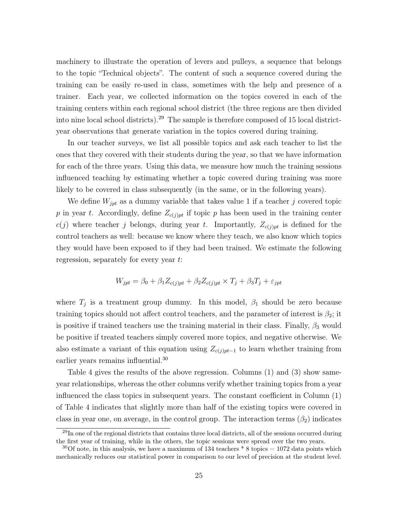machinery to illustrate the operation of levers and pulleys, a sequence that belongs to the topic "Technical objects". The content of such a sequence covered during the training can be easily re-used in class, sometimes with the help and presence of a trainer. Each year, we collected information on the topics covered in each of the training centers within each regional school district (the three regions are then divided into nine local school districts).[29](#page-24-0) The sample is therefore composed of 15 local districtyear observations that generate variation in the topics covered during training.

In our teacher surveys, we list all possible topics and ask each teacher to list the ones that they covered with their students during the year, so that we have information for each of the three years. Using this data, we measure how much the training sessions influenced teaching by estimating whether a topic covered during training was more likely to be covered in class subsequently (in the same, or in the following years).

We define  $W_{\text{int}}$  as a dummy variable that takes value 1 if a teacher j covered topic p in year t. Accordingly, define  $Z_{c(j)p t}$  if topic p has been used in the training center  $c(j)$  where teacher j belongs, during year t. Importantly,  $Z_{c(j)p t}$  is defined for the control teachers as well: because we know where they teach, we also know which topics they would have been exposed to if they had been trained. We estimate the following regression, separately for every year t:

$$
W_{jpt} = \beta_0 + \beta_1 Z_{c(j)pt} + \beta_2 Z_{c(j)pt} \times T_j + \beta_3 T_j + \varepsilon_{jpt}
$$

where  $T_j$  is a treatment group dummy. In this model,  $\beta_1$  should be zero because training topics should not affect control teachers, and the parameter of interest is  $\beta_2$ ; it is positive if trained teachers use the training material in their class. Finally,  $\beta_3$  would be positive if treated teachers simply covered more topics, and negative otherwise. We also estimate a variant of this equation using  $Z_{c(j)p_{i}-1}$  to learn whether training from earlier years remains influential.<sup>[30](#page-24-1)</sup>

Table [4](#page-26-0) gives the results of the above regression. Columns (1) and (3) show sameyear relationships, whereas the other columns verify whether training topics from a year influenced the class topics in subsequent years. The constant coefficient in Column (1) of Table [4](#page-26-0) indicates that slightly more than half of the existing topics were covered in class in year one, on average, in the control group. The interaction terms  $(\beta_2)$  indicates

<span id="page-24-0"></span> $^{29}$ In one of the regional districts that contains three local districts, all of the sessions occurred during the first year of training, while in the others, the topic sessions were spread over the two years.

<span id="page-24-1"></span> $30$ Of note, in this analysis, we have a maximum of 134 teachers  $*$  8 topics = 1072 data points which mechanically reduces our statistical power in comparison to our level of precision at the student level.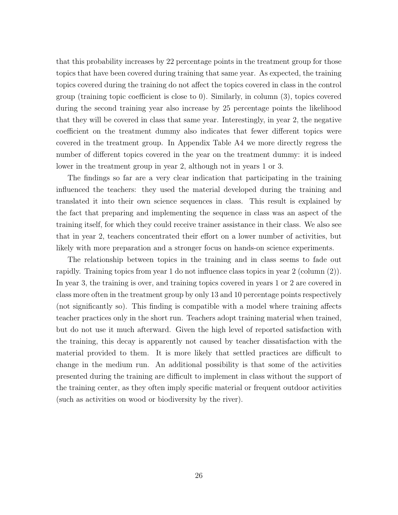that this probability increases by 22 percentage points in the treatment group for those topics that have been covered during training that same year. As expected, the training topics covered during the training do not affect the topics covered in class in the control group (training topic coefficient is close to 0). Similarly, in column (3), topics covered during the second training year also increase by 25 percentage points the likelihood that they will be covered in class that same year. Interestingly, in year 2, the negative coefficient on the treatment dummy also indicates that fewer different topics were covered in the treatment group. In Appendix Table [A4](#page-47-0) we more directly regress the number of different topics covered in the year on the treatment dummy: it is indeed lower in the treatment group in year 2, although not in years 1 or 3.

The findings so far are a very clear indication that participating in the training influenced the teachers: they used the material developed during the training and translated it into their own science sequences in class. This result is explained by the fact that preparing and implementing the sequence in class was an aspect of the training itself, for which they could receive trainer assistance in their class. We also see that in year 2, teachers concentrated their effort on a lower number of activities, but likely with more preparation and a stronger focus on hands-on science experiments.

The relationship between topics in the training and in class seems to fade out rapidly. Training topics from year 1 do not influence class topics in year 2 (column (2)). In year 3, the training is over, and training topics covered in years 1 or 2 are covered in class more often in the treatment group by only 13 and 10 percentage points respectively (not significantly so). This finding is compatible with a model where training affects teacher practices only in the short run. Teachers adopt training material when trained, but do not use it much afterward. Given the high level of reported satisfaction with the training, this decay is apparently not caused by teacher dissatisfaction with the material provided to them. It is more likely that settled practices are difficult to change in the medium run. An additional possibility is that some of the activities presented during the training are difficult to implement in class without the support of the training center, as they often imply specific material or frequent outdoor activities (such as activities on wood or biodiversity by the river).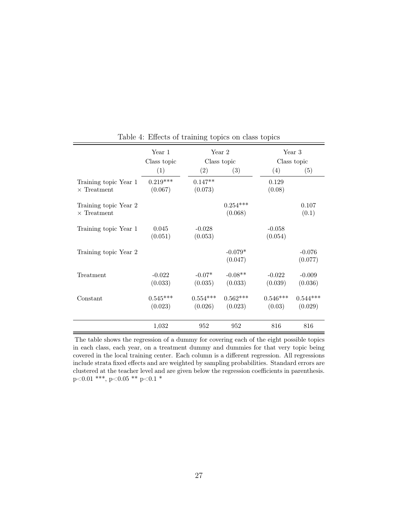<span id="page-26-0"></span>

|                                             | Year 1<br>Class topic | Year 2                |                       |                      |                       | Year 3<br>Class topic<br>Class topic |  |
|---------------------------------------------|-----------------------|-----------------------|-----------------------|----------------------|-----------------------|--------------------------------------|--|
|                                             | (1)                   | (2)                   | (3)                   | (4)                  | (5)                   |                                      |  |
| Training topic Year 1<br>$\times$ Treatment | $0.219***$<br>(0.067) | $0.147**$<br>(0.073)  |                       | 0.129<br>(0.08)      |                       |                                      |  |
| Training topic Year 2<br>$\times$ Treatment |                       |                       | $0.254***$<br>(0.068) |                      | 0.107<br>(0.1)        |                                      |  |
| Training topic Year 1                       | 0.045<br>(0.051)      | $-0.028$<br>(0.053)   |                       | $-0.058$<br>(0.054)  |                       |                                      |  |
| Training topic Year 2                       |                       |                       | $-0.079*$<br>(0.047)  |                      | $-0.076$<br>(0.077)   |                                      |  |
| Treatment                                   | $-0.022$<br>(0.033)   | $-0.07*$<br>(0.035)   | $-0.08**$<br>(0.033)  | $-0.022$<br>(0.039)  | $-0.009$<br>(0.036)   |                                      |  |
| Constant                                    | $0.545***$<br>(0.023) | $0.554***$<br>(0.026) | $0.562***$<br>(0.023) | $0.546***$<br>(0.03) | $0.544***$<br>(0.029) |                                      |  |
|                                             | 1,032                 | 952                   | 952                   | 816                  | 816                   |                                      |  |

Table 4: Effects of training topics on class topics

The table shows the regression of a dummy for covering each of the eight possible topics in each class, each year, on a treatment dummy and dummies for that very topic being covered in the local training center. Each column is a different regression. All regressions include strata fixed effects and are weighted by sampling probabilities. Standard errors are clustered at the teacher level and are given below the regression coefficients in parenthesis. p<0.01 \*\*\*, p<0.05 \*\* p<0.1 \*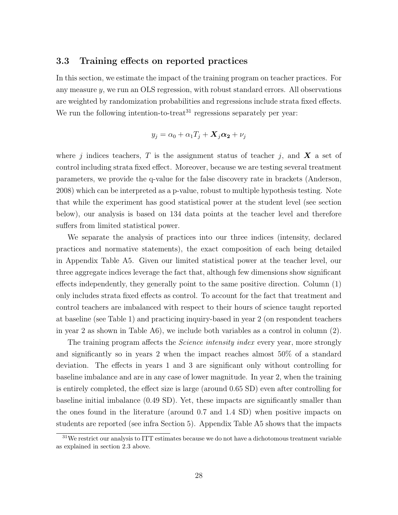#### 3.3 Training effects on reported practices

In this section, we estimate the impact of the training program on teacher practices. For any measure  $\gamma$ , we run an OLS regression, with robust standard errors. All observations are weighted by randomization probabilities and regressions include strata fixed effects. We run the following intention-to-treat<sup>[31](#page-27-0)</sup> regressions separately per year:

$$
y_j = \alpha_0 + \alpha_1 T_j + \mathbf{X}_j \boldsymbol{\alpha_2} + \nu_j
$$

where j indices teachers, T is the assignment status of teacher j, and  $\boldsymbol{X}$  a set of control including strata fixed effect. Moreover, because we are testing several treatment parameters, we provide the q-value for the false discovery rate in brackets [\(Anderson,](#page-40-10) [2008\)](#page-40-10) which can be interpreted as a p-value, robust to multiple hypothesis testing. Note that while the experiment has good statistical power at the student level (see section below), our analysis is based on 134 data points at the teacher level and therefore suffers from limited statistical power.

We separate the analysis of practices into our three indices (intensity, declared practices and normative statements), the exact composition of each being detailed in Appendix Table [A5.](#page-48-0) Given our limited statistical power at the teacher level, our three aggregate indices leverage the fact that, although few dimensions show significant effects independently, they generally point to the same positive direction. Column (1) only includes strata fixed effects as control. To account for the fact that treatment and control teachers are imbalanced with respect to their hours of science taught reported at baseline (see Table [1\)](#page-16-0) and practicing inquiry-based in year 2 (on respondent teachers in year 2 as shown in Table [A6\)](#page-49-0), we include both variables as a control in column (2).

The training program affects the *Science intensity index* every year, more strongly and significantly so in years 2 when the impact reaches almost 50% of a standard deviation. The effects in years 1 and 3 are significant only without controlling for baseline imbalance and are in any case of lower magnitude. In year 2, when the training is entirely completed, the effect size is large (around 0.65 SD) even after controlling for baseline initial imbalance (0.49 SD). Yet, these impacts are significantly smaller than the ones found in the literature (around 0.7 and 1.4 SD) when positive impacts on students are reported (see infra Section [5\)](#page-35-0). Appendix Table [A5](#page-48-0) shows that the impacts

<span id="page-27-0"></span><sup>&</sup>lt;sup>31</sup>We restrict our analysis to ITT estimates because we do not have a dichotomous treatment variable as explained in section 2.3 above.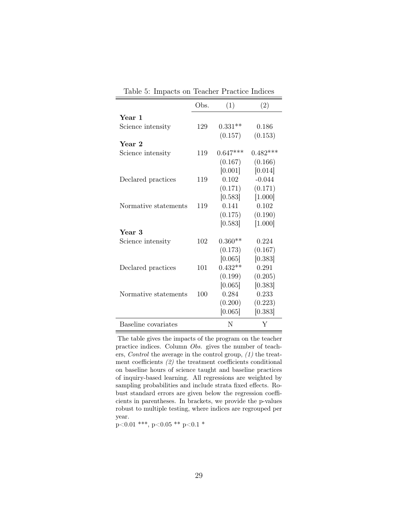<span id="page-28-0"></span>

|                      | Obs. | (1)        | (2)        |
|----------------------|------|------------|------------|
| Year 1               |      |            |            |
| Science intensity    | 129  | $0.331**$  | 0.186      |
|                      |      | (0.157)    | (0.153)    |
| Year 2               |      |            |            |
| Science intensity    | 119  | $0.647***$ | $0.482***$ |
|                      |      | (0.167)    | (0.166)    |
|                      |      | [0.001]    | [0.014]    |
| Declared practices   | 119  | 0.102      | $-0.044$   |
|                      |      | (0.171)    | (0.171)    |
|                      |      | [0.583]    | [1.000]    |
| Normative statements | 119  | 0.141      | 0.102      |
|                      |      | (0.175)    | (0.190)    |
|                      |      | [0.583]    | [1.000]    |
| Year 3               |      |            |            |
| Science intensity    | 102  | $0.360**$  | 0.224      |
|                      |      | (0.173)    | (0.167)    |
|                      |      | [0.065]    | [0.383]    |
| Declared practices   | 101  | $0.432**$  | 0.291      |
|                      |      | (0.199)    | (0.205)    |
|                      |      | [0.065]    | [0.383]    |
| Normative statements | 100  | 0.284      | 0.233      |
|                      |      | (0.200)    | (0.223)    |
|                      |      | [0.065]    | [0.383]    |
| Baseline covariates  |      | N          | Y          |

Table 5: Impacts on Teacher Practice Indices

The table gives the impacts of the program on the teacher practice indices. Column Obs. gives the number of teachers, Control the average in the control group, (1) the treatment coefficients (2) the treatment coefficients conditional on baseline hours of science taught and baseline practices of inquiry-based learning. All regressions are weighted by sampling probabilities and include strata fixed effects. Robust standard errors are given below the regression coefficients in parentheses. In brackets, we provide the p-values robust to multiple testing, where indices are regrouped per year.

 $p<0.01$  \*\*\*, p $<0.05$  \*\* p $<0.1$  \*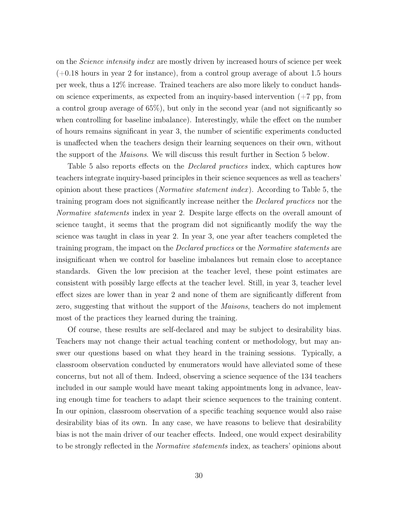on the *Science intensity index* are mostly driven by increased hours of science per week  $(+0.18$  hours in year 2 for instance), from a control group average of about 1.5 hours per week, thus a 12% increase. Trained teachers are also more likely to conduct handson science experiments, as expected from an inquiry-based intervention  $(+7 \text{ pp}, \text{from})$ a control group average of 65%), but only in the second year (and not significantly so when controlling for baseline imbalance). Interestingly, while the effect on the number of hours remains significant in year 3, the number of scientific experiments conducted is unaffected when the teachers design their learning sequences on their own, without the support of the Maisons. We will discuss this result further in Section [5](#page-35-0) below.

Table [5](#page-28-0) also reports effects on the *Declared practices* index, which captures how teachers integrate inquiry-based principles in their science sequences as well as teachers' opinion about these practices (Normative statement index ). According to Table [5,](#page-28-0) the training program does not significantly increase neither the Declared practices nor the Normative statements index in year 2. Despite large effects on the overall amount of science taught, it seems that the program did not significantly modify the way the science was taught in class in year 2. In year 3, one year after teachers completed the training program, the impact on the Declared practices or the Normative statements are insignificant when we control for baseline imbalances but remain close to acceptance standards. Given the low precision at the teacher level, these point estimates are consistent with possibly large effects at the teacher level. Still, in year 3, teacher level effect sizes are lower than in year 2 and none of them are significantly different from zero, suggesting that without the support of the *Maisons*, teachers do not implement most of the practices they learned during the training.

Of course, these results are self-declared and may be subject to desirability bias. Teachers may not change their actual teaching content or methodology, but may answer our questions based on what they heard in the training sessions. Typically, a classroom observation conducted by enumerators would have alleviated some of these concerns, but not all of them. Indeed, observing a science sequence of the 134 teachers included in our sample would have meant taking appointments long in advance, leaving enough time for teachers to adapt their science sequences to the training content. In our opinion, classroom observation of a specific teaching sequence would also raise desirability bias of its own. In any case, we have reasons to believe that desirability bias is not the main driver of our teacher effects. Indeed, one would expect desirability to be strongly reflected in the Normative statements index, as teachers' opinions about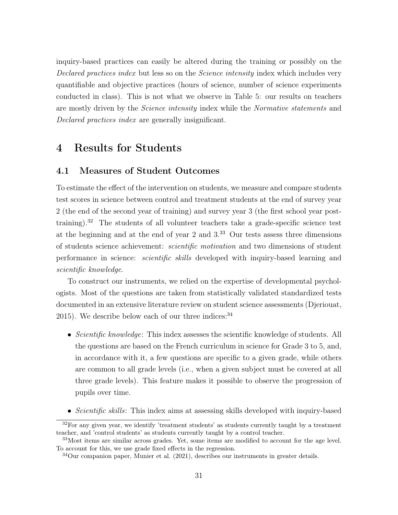inquiry-based practices can easily be altered during the training or possibly on the Declared practices index but less so on the *Science intensity* index which includes very quantifiable and objective practices (hours of science, number of science experiments conducted in class). This is not what we observe in Table [5:](#page-28-0) our results on teachers are mostly driven by the Science intensity index while the Normative statements and Declared practices index are generally insignificant.

## 4 Results for Students

### 4.1 Measures of Student Outcomes

To estimate the effect of the intervention on students, we measure and compare students test scores in science between control and treatment students at the end of survey year 2 (the end of the second year of training) and survey year 3 (the first school year posttraining).[32](#page-30-0) The students of all volunteer teachers take a grade-specific science test at the beginning and at the end of year 2 and 3.[33](#page-30-1) Our tests assess three dimensions of students science achievement: scientific motivation and two dimensions of student performance in science: scientific skills developed with inquiry-based learning and scientific knowledge.

To construct our instruments, we relied on the expertise of developmental psychologists. Most of the questions are taken from statistically validated standardized tests documented in an extensive literature review on student science assessments [\(Djeriouat,](#page-41-9) [2015\)](#page-41-9). We describe below each of our three indices:  $34$ 

- Scientific knowledge: This index assesses the scientific knowledge of students. All the questions are based on the French curriculum in science for Grade 3 to 5, and, in accordance with it, a few questions are specific to a given grade, while others are common to all grade levels (i.e., when a given subject must be covered at all three grade levels). This feature makes it possible to observe the progression of pupils over time.
- Scientific skills: This index aims at assessing skills developed with inquiry-based

<span id="page-30-0"></span><sup>&</sup>lt;sup>32</sup>For any given year, we identify 'treatment students' as students currently taught by a treatment teacher, and 'control students' as students currently taught by a control teacher.

<span id="page-30-1"></span><sup>&</sup>lt;sup>33</sup>Most items are similar across grades. Yet, some items are modified to account for the age level. To account for this, we use grade fixed effects in the regression.

<span id="page-30-2"></span><sup>34</sup>Our companion paper, [Munier et al.](#page-42-4) [\(2021\)](#page-42-4), describes our instruments in greater details.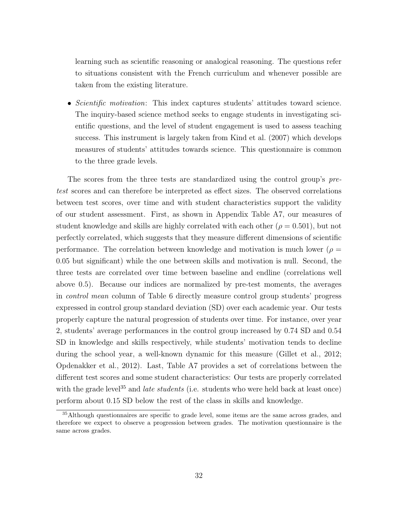learning such as scientific reasoning or analogical reasoning. The questions refer to situations consistent with the French curriculum and whenever possible are taken from the existing literature.

• Scientific motivation: This index captures students' attitudes toward science. The inquiry-based science method seeks to engage students in investigating scientific questions, and the level of student engagement is used to assess teaching success. This instrument is largely taken from [Kind et al.](#page-42-5) [\(2007\)](#page-42-5) which develops measures of students' attitudes towards science. This questionnaire is common to the three grade levels.

The scores from the three tests are standardized using the control group's pretest scores and can therefore be interpreted as effect sizes. The observed correlations between test scores, over time and with student characteristics support the validity of our student assessment. First, as shown in Appendix Table [A7,](#page-50-0) our measures of student knowledge and skills are highly correlated with each other ( $\rho = 0.501$ ), but not perfectly correlated, which suggests that they measure different dimensions of scientific performance. The correlation between knowledge and motivation is much lower ( $\rho =$ 0.05 but significant) while the one between skills and motivation is null. Second, the three tests are correlated over time between baseline and endline (correlations well above 0.5). Because our indices are normalized by pre-test moments, the averages in control mean column of Table [6](#page-34-0) directly measure control group students' progress expressed in control group standard deviation (SD) over each academic year. Our tests properly capture the natural progression of students over time. For instance, over year 2, students' average performances in the control group increased by 0.74 SD and 0.54 SD in knowledge and skills respectively, while students' motivation tends to decline during the school year, a well-known dynamic for this measure [\(Gillet et al.,](#page-41-10) [2012;](#page-41-10) [Opdenakker et al.,](#page-42-6) [2012\)](#page-42-6). Last, Table [A7](#page-50-0) provides a set of correlations between the different test scores and some student characteristics: Our tests are properly correlated with the grade level<sup>[35](#page-31-0)</sup> and *late students* (i.e. students who were held back at least once) perform about 0.15 SD below the rest of the class in skills and knowledge.

<span id="page-31-0"></span><sup>&</sup>lt;sup>35</sup>Although questionnaires are specific to grade level, some items are the same across grades, and therefore we expect to observe a progression between grades. The motivation questionnaire is the same across grades.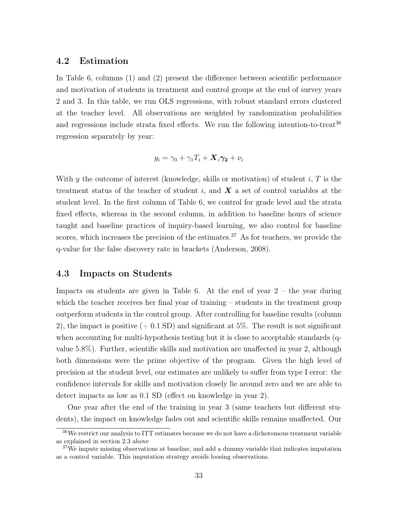### 4.2 Estimation

In Table [6,](#page-34-0) columns (1) and (2) present the difference between scientific performance and motivation of students in treatment and control groups at the end of survey years 2 and 3. In this table, we run OLS regressions, with robust standard errors clustered at the teacher level. All observations are weighted by randomization probabilities and regressions include strata fixed effects. We run the following intention-to-treat<sup>[36](#page-32-0)</sup> regression separately by year:

$$
y_i = \gamma_0 + \gamma_1 T_i + \mathbf{X}_i \boldsymbol{\gamma_2} + \nu_i
$$

With y the outcome of interest (knowledge, skills or motivation) of student i,  $T$  is the treatment status of the teacher of student i, and  $\boldsymbol{X}$  a set of control variables at the student level. In the first column of Table [6,](#page-34-0) we control for grade level and the strata fixed effects, whereas in the second column, in addition to baseline hours of science taught and baseline practices of inquiry-based learning, we also control for baseline scores, which increases the precision of the estimates.<sup>[37](#page-32-1)</sup> As for teachers, we provide the q-value for the false discovery rate in brackets [\(Anderson,](#page-40-10) [2008\)](#page-40-10).

#### 4.3 Impacts on Students

Impacts on students are given in Table [6.](#page-34-0) At the end of year  $2$  – the year during which the teacher receives her final year of training – students in the treatment group outperform students in the control group. After controlling for baseline results (column 2), the impact is positive  $(+ 0.1 \text{ SD})$  and significant at 5%. The result is not significant when accounting for multi-hypothesis testing but it is close to acceptable standards (qvalue 5.8%). Further, scientific skills and motivation are unaffected in year 2, although both dimensions were the prime objective of the program. Given the high level of precision at the student level, our estimates are unlikely to suffer from type I error: the confidence intervals for skills and motivation closely lie around zero and we are able to detect impacts as low as 0.1 SD (effect on knowledge in year 2).

One year after the end of the training in year 3 (same teachers but different students), the impact on knowledge fades out and scientific skills remains unaffected. Our

<span id="page-32-0"></span><sup>36</sup>We restrict our analysis to ITT estimates because we do not have a dichotomous treatment variable as explained in section 2.3 above

<span id="page-32-1"></span> $37\text{We improve missing observations at baseline, and add a dummy variable that indicates imputation.}$ as a control variable. This imputation strategy avoids loosing observations.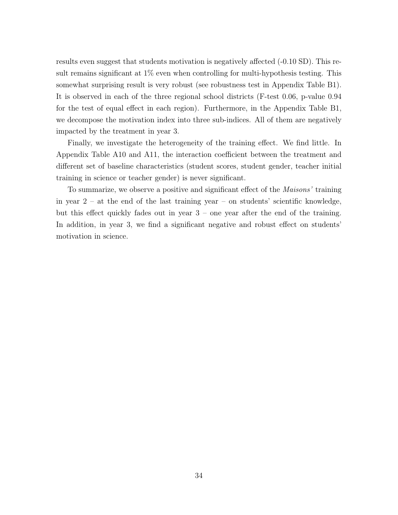results even suggest that students motivation is negatively affected (-0.10 SD). This result remains significant at 1% even when controlling for multi-hypothesis testing. This somewhat surprising result is very robust (see robustness test in Appendix Table [B1\)](#page-56-0). It is observed in each of the three regional school districts (F-test 0.06, p-value 0.94 for the test of equal effect in each region). Furthermore, in the Appendix Table [B1,](#page-56-0) we decompose the motivation index into three sub-indices. All of them are negatively impacted by the treatment in year 3.

Finally, we investigate the heterogeneity of the training effect. We find little. In Appendix Table [A10](#page-53-0) and [A11,](#page-54-0) the interaction coefficient between the treatment and different set of baseline characteristics (student scores, student gender, teacher initial training in science or teacher gender) is never significant.

To summarize, we observe a positive and significant effect of the *Maisons'* training in year  $2 - at$  the end of the last training year – on students' scientific knowledge, but this effect quickly fades out in year 3 – one year after the end of the training. In addition, in year 3, we find a significant negative and robust effect on students' motivation in science.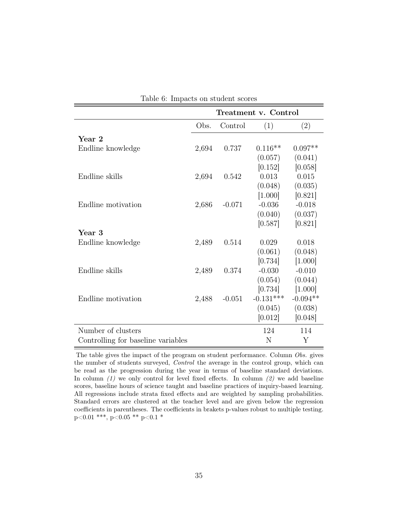<span id="page-34-0"></span>

| таріс о. тіпрасая он відцені вебі с |       |          |                      |            |
|-------------------------------------|-------|----------|----------------------|------------|
|                                     |       |          | Treatment v. Control |            |
|                                     | Obs.  | Control  | (1)                  | (2)        |
| Year 2                              |       |          |                      |            |
| Endline knowledge                   | 2,694 | 0.737    | $0.116**$            | $0.097**$  |
|                                     |       |          | (0.057)              | (0.041)    |
|                                     |       |          | [0.152]              | [0.058]    |
| Endline skills                      | 2,694 | 0.542    | 0.013                | 0.015      |
|                                     |       |          | (0.048)              | (0.035)    |
|                                     |       |          | [1.000]              | [0.821]    |
| Endline motivation                  | 2,686 | $-0.071$ | $-0.036$             | $-0.018$   |
|                                     |       |          | (0.040)              | (0.037)    |
|                                     |       |          | [0.587]              | [0.821]    |
| Year 3                              |       |          |                      |            |
| Endline knowledge                   | 2,489 | 0.514    | 0.029                | 0.018      |
|                                     |       |          | (0.061)              | (0.048)    |
|                                     |       |          | [0.734]              | [1.000]    |
| Endline skills                      | 2,489 | 0.374    | $-0.030$             | $-0.010$   |
|                                     |       |          | (0.054)              | (0.044)    |
|                                     |       |          | [0.734]              | [1.000]    |
| Endline motivation                  | 2,488 | $-0.051$ | $-0.131***$          | $-0.094**$ |
|                                     |       |          | (0.045)              | (0.038)    |
|                                     |       |          | [0.012]              | [0.048]    |
| Number of clusters                  |       |          | 124                  | 114        |
| Controlling for baseline variables  |       |          | N                    | Y          |

|  | Table 6: Impacts on student scores |  |  |  |
|--|------------------------------------|--|--|--|
|--|------------------------------------|--|--|--|

The table gives the impact of the program on student performance. Column Obs. gives the number of students surveyed, Control the average in the control group, which can be read as the progression during the year in terms of baseline standard deviations. In column  $(1)$  we only control for level fixed effects. In column  $(2)$  we add baseline scores, baseline hours of science taught and baseline practices of inquiry-based learning. All regressions include strata fixed effects and are weighted by sampling probabilities. Standard errors are clustered at the teacher level and are given below the regression coefficients in parentheses. The coefficients in brakets p-values robust to multiple testing. p<0.01 \*\*\*, p<0.05 \*\* p<0.1 \*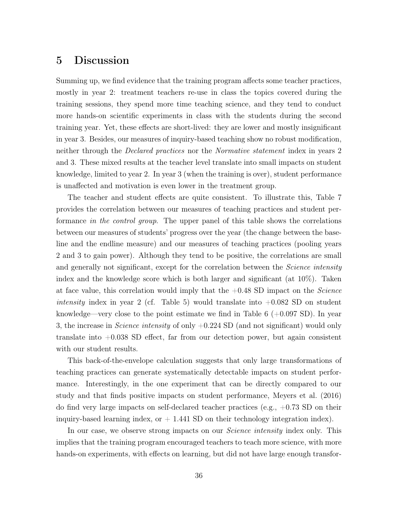### <span id="page-35-0"></span>5 Discussion

Summing up, we find evidence that the training program affects some teacher practices, mostly in year 2: treatment teachers re-use in class the topics covered during the training sessions, they spend more time teaching science, and they tend to conduct more hands-on scientific experiments in class with the students during the second training year. Yet, these effects are short-lived: they are lower and mostly insignificant in year 3. Besides, our measures of inquiry-based teaching show no robust modification, neither through the *Declared practices* nor the *Normative statement* index in years 2 and 3. These mixed results at the teacher level translate into small impacts on student knowledge, limited to year 2. In year 3 (when the training is over), student performance is unaffected and motivation is even lower in the treatment group.

The teacher and student effects are quite consistent. To illustrate this, Table [7](#page-37-0) provides the correlation between our measures of teaching practices and student performance in the control group. The upper panel of this table shows the correlations between our measures of students' progress over the year (the change between the baseline and the endline measure) and our measures of teaching practices (pooling years 2 and 3 to gain power). Although they tend to be positive, the correlations are small and generally not significant, except for the correlation between the *Science intensity* index and the knowledge score which is both larger and significant (at 10%). Taken at face value, this correlation would imply that the  $+0.48$  SD impact on the *Science* intensity index in year 2 (cf. Table [5\)](#page-28-0) would translate into  $+0.082$  SD on student knowledge—very close to the point estimate we find in Table [6](#page-34-0)  $(+0.097 S_D)$ . In year 3, the increase in *Science intensity* of only  $+0.224$  SD (and not significant) would only translate into +0.038 SD effect, far from our detection power, but again consistent with our student results.

This back-of-the-envelope calculation suggests that only large transformations of teaching practices can generate systematically detectable impacts on student performance. Interestingly, in the one experiment that can be directly compared to our study and that finds positive impacts on student performance, [Meyers et al.](#page-42-3) [\(2016\)](#page-42-3) do find very large impacts on self-declared teacher practices (e.g.,  $+0.73$  SD on their inquiry-based learning index, or  $+$  1.441 SD on their technology integration index).

In our case, we observe strong impacts on our *Science intensity* index only. This implies that the training program encouraged teachers to teach more science, with more hands-on experiments, with effects on learning, but did not have large enough transfor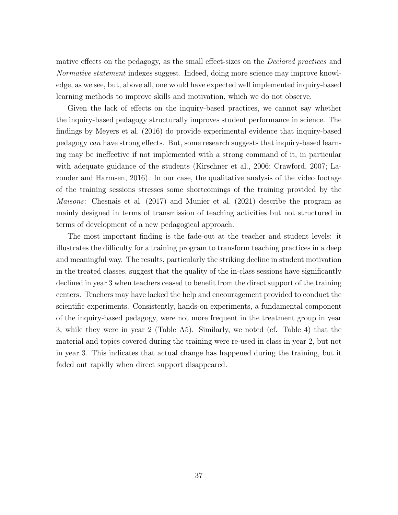mative effects on the pedagogy, as the small effect-sizes on the Declared practices and Normative statement indexes suggest. Indeed, doing more science may improve knowledge, as we see, but, above all, one would have expected well implemented inquiry-based learning methods to improve skills and motivation, which we do not observe.

Given the lack of effects on the inquiry-based practices, we cannot say whether the inquiry-based pedagogy structurally improves student performance in science. The findings by [Meyers et al.](#page-42-3) [\(2016\)](#page-42-3) do provide experimental evidence that inquiry-based pedagogy can have strong effects. But, some research suggests that inquiry-based learning may be ineffective if not implemented with a strong command of it, in particular with adequate guidance of the students [\(Kirschner et al.,](#page-42-7) [2006;](#page-42-7) [Crawford,](#page-41-11) [2007;](#page-41-11) [La](#page-42-8)[zonder and Harmsen,](#page-42-8) [2016\)](#page-42-8). In our case, the qualitative analysis of the video footage of the training sessions stresses some shortcomings of the training provided by the Maisons: [Chesnais et al.](#page-40-8) [\(2017\)](#page-40-8) and [Munier et al.](#page-42-4) [\(2021\)](#page-42-4) describe the program as mainly designed in terms of transmission of teaching activities but not structured in terms of development of a new pedagogical approach.

The most important finding is the fade-out at the teacher and student levels: it illustrates the difficulty for a training program to transform teaching practices in a deep and meaningful way. The results, particularly the striking decline in student motivation in the treated classes, suggest that the quality of the in-class sessions have significantly declined in year 3 when teachers ceased to benefit from the direct support of the training centers. Teachers may have lacked the help and encouragement provided to conduct the scientific experiments. Consistently, hands-on experiments, a fundamental component of the inquiry-based pedagogy, were not more frequent in the treatment group in year 3, while they were in year 2 (Table [A5\)](#page-48-0). Similarly, we noted (cf. Table [4\)](#page-26-0) that the material and topics covered during the training were re-used in class in year 2, but not in year 3. This indicates that actual change has happened during the training, but it faded out rapidly when direct support disappeared.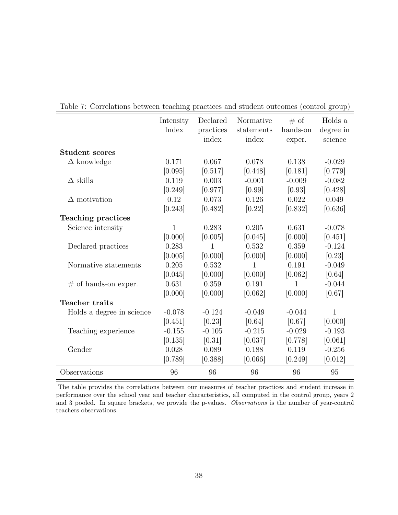|                           | Intensity | Declared  | Normative  | $\#$ of  | Holds a   |
|---------------------------|-----------|-----------|------------|----------|-----------|
|                           | Index     | practices | statements | hands-on | degree in |
|                           |           | index     | index      | exper.   | science   |
| <b>Student scores</b>     |           |           |            |          |           |
| $\Delta$ knowledge        | 0.171     | 0.067     | 0.078      | 0.138    | $-0.029$  |
|                           | [0.095]   | [0.517]   | [0.448]    | [0.181]  | [0.779]   |
| $\Delta$ skills           | 0.119     | 0.003     | $-0.001$   | $-0.009$ | $-0.082$  |
|                           | [0.249]   | [0.977]   | [0.99]     | [0.93]   | [0.428]   |
| $\Delta$ motivation       | 0.12      | 0.073     | 0.126      | 0.022    | 0.049     |
|                           | [0.243]   | [0.482]   | [0.22]     | [0.832]  | [0.636]   |
| <b>Teaching practices</b> |           |           |            |          |           |
| Science intensity         | 1         | 0.283     | 0.205      | 0.631    | $-0.078$  |
|                           | [0.000]   | [0.005]   | [0.045]    | [0.000]  | [0.451]   |
| Declared practices        | 0.283     | 1         | 0.532      | 0.359    | $-0.124$  |
|                           | [0.005]   | [0.000]   | [0.000]    | [0.000]  | [0.23]    |
| Normative statements      | 0.205     | 0.532     | 1          | 0.191    | $-0.049$  |
|                           | [0.045]   | [0.000]   | [0.000]    | [0.062]  | [0.64]    |
| $\#$ of hands-on exper.   | 0.631     | 0.359     | 0.191      | 1        | $-0.044$  |
|                           | [0.000]   | [0.000]   | [0.062]    | [0.000]  | [0.67]    |
| Teacher traits            |           |           |            |          |           |
| Holds a degree in science | $-0.078$  | $-0.124$  | $-0.049$   | $-0.044$ | 1         |
|                           | [0.451]   | [0.23]    | [0.64]     | [0.67]   | [0.000]   |
| Teaching experience       | $-0.155$  | $-0.105$  | $-0.215$   | $-0.029$ | $-0.193$  |
|                           | [0.135]   | [0.31]    | [0.037]    | [0.778]  | [0.061]   |
| Gender                    | 0.028     | 0.089     | 0.188      | 0.119    | $-0.256$  |
|                           | [0.789]   | [0.388]   | [0.066]    | [0.249]  | [0.012]   |
| Observations              | 96        | 96        | 96         | 96       | 95        |

<span id="page-37-0"></span>Table 7: Correlations between teaching practices and student outcomes (control group)

The table provides the correlations between our measures of teacher practices and student increase in performance over the school year and teacher characteristics, all computed in the control group, years 2 and 3 pooled. In square brackets, we provide the p-values. Observations is the number of year-control teachers observations.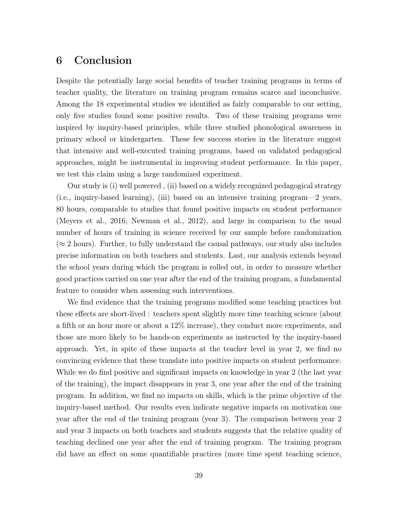### 6 Conclusion

Despite the potentially large social benefits of teacher training programs in terms of teacher quality, the literature on training program remains scarce and inconclusive. Among the 18 experimental studies we identified as fairly comparable to our setting, only five studies found some positive results. Two of these training programs were inspired by inquiry-based principles, while three studied phonological awareness in primary school or kindergarten. These few success stories in the literature suggest that intensive and well-executed training programs, based on validated pedagogical approaches, might be instrumental in improving student performance. In this paper, we test this claim using a large randomized experiment.

Our study is (i) well powered , (ii) based on a widely recognized pedagogical strategy (i.e., inquiry-based learning), (iii) based on an intensive training program—2 years, 80 hours, comparable to studies that found positive impacts on student performance [\(Meyers et al.,](#page-42-3) [2016;](#page-42-3) [Newman et al.,](#page-42-2) [2012\)](#page-42-2), and large in comparison to the usual number of hours of training in science received by our sample before randomization  $(\approx 2 \text{ hours})$ . Further, to fully understand the causal pathways, our study also includes precise information on both teachers and students. Last, our analysis extends beyond the school years during which the program is rolled out, in order to measure whether good practices carried on one year after the end of the training program, a fundamental feature to consider when assessing such interventions.

We find evidence that the training programs modified some teaching practices but these effects are short-lived : teachers spent slightly more time teaching science (about a fifth or an hour more or about a 12% increase), they conduct more experiments, and those are more likely to be hands-on experiments as instructed by the inquiry-based approach. Yet, in spite of these impacts at the teacher level in year 2, we find no convincing evidence that these translate into positive impacts on student performance. While we do find positive and significant impacts on knowledge in year 2 (the last year of the training), the impact disappears in year 3, one year after the end of the training program. In addition, we find no impacts on skills, which is the prime objective of the inquiry-based method. Our results even indicate negative impacts on motivation one year after the end of the training program (year 3). The comparison between year 2 and year 3 impacts on both teachers and students suggests that the relative quality of teaching declined one year after the end of training program. The training program did have an effect on some quantifiable practices (more time spent teaching science,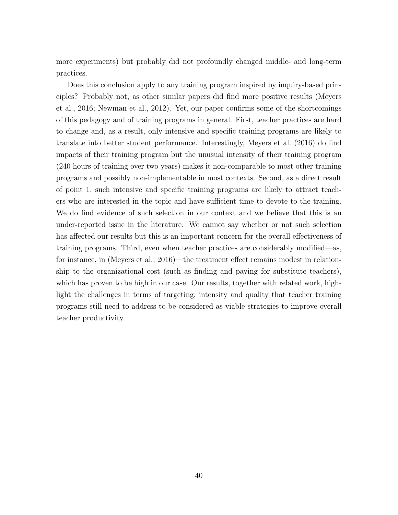more experiments) but probably did not profoundly changed middle- and long-term practices.

Does this conclusion apply to any training program inspired by inquiry-based principles? Probably not, as other similar papers did find more positive results [\(Meyers](#page-42-3) [et al.,](#page-42-3) [2016;](#page-42-3) [Newman et al.,](#page-42-2) [2012\)](#page-42-2). Yet, our paper confirms some of the shortcomings of this pedagogy and of training programs in general. First, teacher practices are hard to change and, as a result, only intensive and specific training programs are likely to translate into better student performance. Interestingly, [Meyers et al.](#page-42-3) [\(2016\)](#page-42-3) do find impacts of their training program but the unusual intensity of their training program (240 hours of training over two years) makes it non-comparable to most other training programs and possibly non-implementable in most contexts. Second, as a direct result of point 1, such intensive and specific training programs are likely to attract teachers who are interested in the topic and have sufficient time to devote to the training. We do find evidence of such selection in our context and we believe that this is an under-reported issue in the literature. We cannot say whether or not such selection has affected our results but this is an important concern for the overall effectiveness of training programs. Third, even when teacher practices are considerably modified—as, for instance, in [\(Meyers et al.,](#page-42-3) [2016\)](#page-42-3)—the treatment effect remains modest in relationship to the organizational cost (such as finding and paying for substitute teachers), which has proven to be high in our case. Our results, together with related work, highlight the challenges in terms of targeting, intensity and quality that teacher training programs still need to address to be considered as viable strategies to improve overall teacher productivity.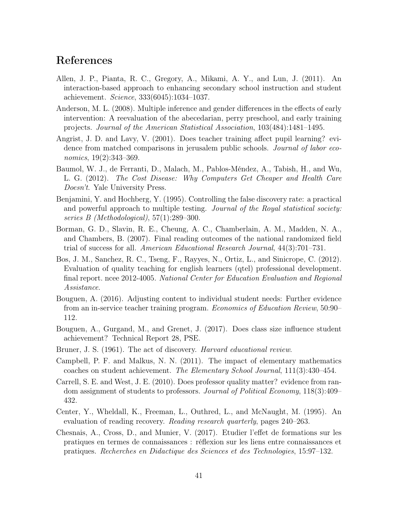### <span id="page-40-16"></span><span id="page-40-15"></span><span id="page-40-14"></span><span id="page-40-13"></span><span id="page-40-12"></span><span id="page-40-11"></span>References

- Allen, J. P., Pianta, R. C., Gregory, A., Mikami, A. Y., and Lun, J. (2011). An interaction-based approach to enhancing secondary school instruction and student achievement. Science, 333(6045):1034–1037.
- <span id="page-40-10"></span>Anderson, M. L. (2008). Multiple inference and gender differences in the effects of early intervention: A reevaluation of the abecedarian, perry preschool, and early training projects. Journal of the American Statistical Association, 103(484):1481–1495.
- <span id="page-40-6"></span>Angrist, J. D. and Lavy, V. (2001). Does teacher training affect pupil learning? evidence from matched comparisons in jerusalem public schools. *Journal of labor eco*nomics, 19(2):343–369.
- <span id="page-40-1"></span>Baumol, W. J., de Ferranti, D., Malach, M., Pablos-Méndez, A., Tabish, H., and Wu, L. G. (2012). The Cost Disease: Why Computers Get Cheaper and Health Care Doesn't. Yale University Press.
- <span id="page-40-9"></span>Benjamini, Y. and Hochberg, Y. (1995). Controlling the false discovery rate: a practical and powerful approach to multiple testing. Journal of the Royal statistical society: series B (Methodological), 57(1):289–300.
- <span id="page-40-3"></span>Borman, G. D., Slavin, R. E., Cheung, A. C., Chamberlain, A. M., Madden, N. A., and Chambers, B. (2007). Final reading outcomes of the national randomized field trial of success for all. American Educational Research Journal, 44(3):701–731.
- Bos, J. M., Sanchez, R. C., Tseng, F., Rayyes, N., Ortiz, L., and Sinicrope, C. (2012). Evaluation of quality teaching for english learners (qtel) professional development. final report. ncee 2012-4005. National Center for Education Evaluation and Regional Assistance.
- <span id="page-40-5"></span>Bouguen, A. (2016). Adjusting content to individual student needs: Further evidence from an in-service teacher training program. Economics of Education Review, 50:90– 112.
- <span id="page-40-4"></span>Bouguen, A., Gurgand, M., and Grenet, J. (2017). Does class size influence student achievement? Technical Report 28, PSE.
- <span id="page-40-7"></span>Bruner, J. S. (1961). The act of discovery. *Harvard educational review*.
- Campbell, P. F. and Malkus, N. N. (2011). The impact of elementary mathematics coaches on student achievement. The Elementary School Journal, 111(3):430–454.
- <span id="page-40-0"></span>Carrell, S. E. and West, J. E. (2010). Does professor quality matter? evidence from random assignment of students to professors. Journal of Political Economy, 118(3):409– 432.
- <span id="page-40-2"></span>Center, Y., Wheldall, K., Freeman, L., Outhred, L., and McNaught, M. (1995). An evaluation of reading recovery. Reading research quarterly, pages 240–263.
- <span id="page-40-8"></span>Chesnais, A., Cross, D., and Munier, V. (2017). Etudier l'effet de formations sur les pratiques en termes de connaissances : réflexion sur les liens entre connaissances et pratiques. Recherches en Didactique des Sciences et des Technologies, 15:97–132.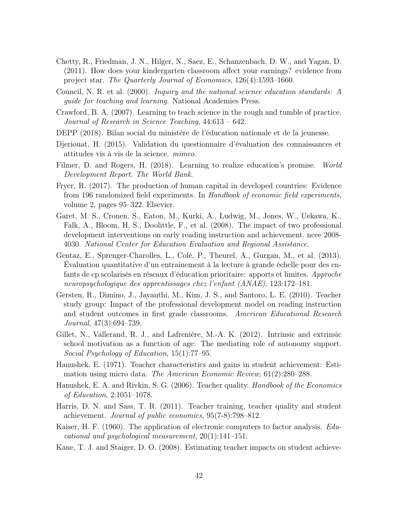- <span id="page-41-15"></span><span id="page-41-14"></span><span id="page-41-13"></span><span id="page-41-12"></span><span id="page-41-1"></span>Chetty, R., Friedman, J. N., Hilger, N., Saez, E., Schanzenbach, D. W., and Yagan, D. (2011). How does your kindergarten classroom affect your earnings? evidence from project star. The Quarterly Journal of Economics, 126(4):1593–1660.
- <span id="page-41-7"></span>Council, N. R. et al. (2000). Inquiry and the national science education standards: A guide for teaching and learning. National Academies Press.
- <span id="page-41-11"></span>Crawford, B. A. (2007). Learning to teach science in the rough and tumble of practice. Journal of Research in Science Teaching, 44:613 – 642.
- <span id="page-41-8"></span>DEPP (2018). Bilan social du ministère de l'éducation nationale et de la jeunesse.
- <span id="page-41-9"></span>Djeriouat, H. (2015). Validation du questionnaire d'évaluation des connaissances et attitudes vis à vis de la science. mimeo.
- <span id="page-41-2"></span>Filmer, D. and Rogers, H. (2018). Learning to realize education's promise. World Development Report. The World Bank.
- <span id="page-41-3"></span>Fryer, R. (2017). The production of human capital in developed countries: Evidence from 196 randomized field experiments. In Handbook of economic field experiments, volume 2, pages 95–322. Elsevier.
- Garet, M. S., Cronen, S., Eaton, M., Kurki, A., Ludwig, M., Jones, W., Uekawa, K., Falk, A., Bloom, H. S., Doolittle, F., et al. (2008). The impact of two professional development interventions on early reading instruction and achievement. ncee 2008- 4030. National Center for Education Evaluation and Regional Assistance.
- Gentaz, E., Sprenger-Charolles, L., Colé, P., Theurel, A., Gurgan, M., et al. (2013). Évaluation quantitative d'un entrainement à la lecture à grande échelle pour des enfants de cp scolarisés en réseaux d'éducation prioritaire: apports et limites. Approche neuropsychologique des apprentissages chez l'enfant (ANAE), 123:172–181.
- Gersten, R., Dimino, J., Jayanthi, M., Kim, J. S., and Santoro, L. E. (2010). Teacher study group: Impact of the professional development model on reading instruction and student outcomes in first grade classrooms. American Educational Research Journal, 47(3):694–739.
- <span id="page-41-10"></span>Gillet, N., Vallerand, R. J., and Lafrenière, M.-A. K. (2012). Intrinsic and extrinsic school motivation as a function of age: The mediating role of autonomy support. Social Psychology of Education, 15(1):77–95.
- <span id="page-41-5"></span>Hanushek, E. (1971). Teacher characteristics and gains in student achievement: Estimation using micro data. *The American Economic Review*, 61(2):280–288.
- <span id="page-41-6"></span>Hanushek, E. A. and Rivkin, S. G. (2006). Teacher quality. Handbook of the Economics of Education, 2:1051–1078.
- <span id="page-41-4"></span>Harris, D. N. and Sass, T. R. (2011). Teacher training, teacher quality and student achievement. Journal of public economics, 95(7-8):798–812.
- <span id="page-41-16"></span>Kaiser, H. F. (1960). The application of electronic computers to factor analysis. Educational and psychological measurement, 20(1):141–151.
- <span id="page-41-0"></span>Kane, T. J. and Staiger, D. O. (2008). Estimating teacher impacts on student achieve-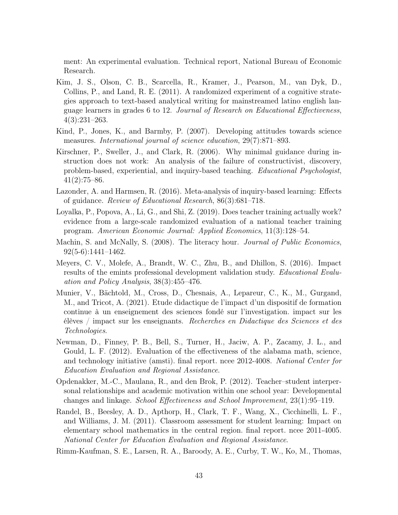<span id="page-42-16"></span><span id="page-42-15"></span><span id="page-42-14"></span><span id="page-42-13"></span><span id="page-42-12"></span><span id="page-42-11"></span><span id="page-42-10"></span><span id="page-42-9"></span>ment: An experimental evaluation. Technical report, National Bureau of Economic Research.

- Kim, J. S., Olson, C. B., Scarcella, R., Kramer, J., Pearson, M., van Dyk, D., Collins, P., and Land, R. E. (2011). A randomized experiment of a cognitive strategies approach to text-based analytical writing for mainstreamed latino english language learners in grades 6 to 12. Journal of Research on Educational Effectiveness, 4(3):231–263.
- <span id="page-42-5"></span>Kind, P., Jones, K., and Barmby, P. (2007). Developing attitudes towards science measures. International journal of science education, 29(7):871–893.
- <span id="page-42-7"></span>Kirschner, P., Sweller, J., and Clark, R. (2006). Why minimal guidance during instruction does not work: An analysis of the failure of constructivist, discovery, problem-based, experiential, and inquiry-based teaching. Educational Psychologist,  $41(2):75–86.$
- <span id="page-42-8"></span>Lazonder, A. and Harmsen, R. (2016). Meta-analysis of inquiry-based learning: Effects of guidance. Review of Educational Research, 86(3):681–718.
- <span id="page-42-0"></span>Loyalka, P., Popova, A., Li, G., and Shi, Z. (2019). Does teacher training actually work? evidence from a large-scale randomized evaluation of a national teacher training program. American Economic Journal: Applied Economics, 11(3):128–54.
- <span id="page-42-1"></span>Machin, S. and McNally, S. (2008). The literacy hour. *Journal of Public Economics*, 92(5-6):1441–1462.
- <span id="page-42-3"></span>Meyers, C. V., Molefe, A., Brandt, W. C., Zhu, B., and Dhillon, S. (2016). Impact results of the emints professional development validation study. Educational Evaluation and Policy Analysis, 38(3):455–476.
- <span id="page-42-4"></span>Munier, V., Bächtold, M., Cross, D., Chesnais, A., Lepareur, C., K., M., Gurgand, M., and Tricot, A. (2021). Etude didactique de l'impact d'un dispositif de formation continue à un enseignement des sciences fondé sur l'investigation. impact sur les élèves / impact sur les enseignants. Recherches en Didactique des Sciences et des Technologies.
- <span id="page-42-2"></span>Newman, D., Finney, P. B., Bell, S., Turner, H., Jaciw, A. P., Zacamy, J. L., and Gould, L. F. (2012). Evaluation of the effectiveness of the alabama math, science, and technology initiative (amsti). final report. ncee 2012-4008. National Center for Education Evaluation and Regional Assistance.
- <span id="page-42-6"></span>Opdenakker, M.-C., Maulana, R., and den Brok, P. (2012). Teacher–student interpersonal relationships and academic motivation within one school year: Developmental changes and linkage. School Effectiveness and School Improvement, 23(1):95–119.
- Randel, B., Beesley, A. D., Apthorp, H., Clark, T. F., Wang, X., Cicchinelli, L. F., and Williams, J. M. (2011). Classroom assessment for student learning: Impact on elementary school mathematics in the central region. final report. ncee 2011-4005. National Center for Education Evaluation and Regional Assistance.

Rimm-Kaufman, S. E., Larsen, R. A., Baroody, A. E., Curby, T. W., Ko, M., Thomas,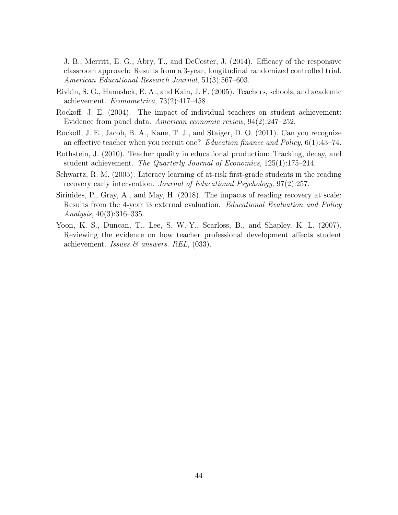<span id="page-43-7"></span>J. B., Merritt, E. G., Abry, T., and DeCoster, J. (2014). Efficacy of the responsive classroom approach: Results from a 3-year, longitudinal randomized controlled trial. American Educational Research Journal, 51(3):567–603.

- <span id="page-43-0"></span>Rivkin, S. G., Hanushek, E. A., and Kain, J. F. (2005). Teachers, schools, and academic achievement. Econometrica, 73(2):417–458.
- <span id="page-43-1"></span>Rockoff, J. E. (2004). The impact of individual teachers on student achievement: Evidence from panel data. American economic review, 94(2):247–252.
- <span id="page-43-3"></span>Rockoff, J. E., Jacob, B. A., Kane, T. J., and Staiger, D. O. (2011). Can you recognize an effective teacher when you recruit one? Education finance and Policy, 6(1):43–74.
- <span id="page-43-2"></span>Rothstein, J. (2010). Teacher quality in educational production: Tracking, decay, and student achievement. The Quarterly Journal of Economics, 125(1):175–214.
- <span id="page-43-4"></span>Schwartz, R. M. (2005). Literacy learning of at-risk first-grade students in the reading recovery early intervention. Journal of Educational Psychology, 97(2):257.
- <span id="page-43-5"></span>Sirinides, P., Gray, A., and May, H. (2018). The impacts of reading recovery at scale: Results from the 4-year i3 external evaluation. Educational Evaluation and Policy Analysis, 40(3):316–335.
- <span id="page-43-6"></span>Yoon, K. S., Duncan, T., Lee, S. W.-Y., Scarloss, B., and Shapley, K. L. (2007). Reviewing the evidence on how teacher professional development affects student achievement. Issues  $\mathcal{C}$  answers. REL, (033).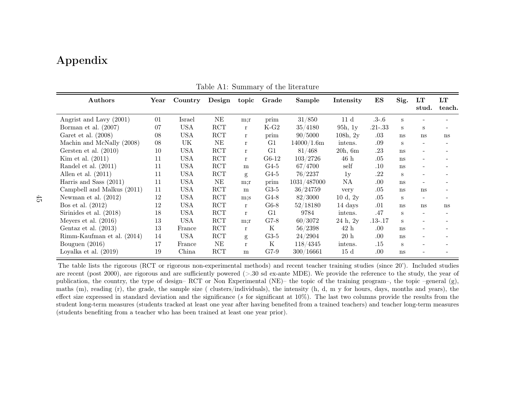## Appendix

| Authors                    | $\operatorname{Year}$ | Country    | Design     | topic        | Grade       | Sample      | Intensity        | ES          | Sig. | LT                           | LT                       |
|----------------------------|-----------------------|------------|------------|--------------|-------------|-------------|------------------|-------------|------|------------------------------|--------------------------|
|                            |                       |            |            |              |             |             |                  |             |      | stud.                        | teach.                   |
| Angrist and Lavy (2001)    | 01                    | Israel     | $\rm NE$   | m;r          | prim        | 31/850      | 11 <sub>d</sub>  | $.3 - .6$   | S    |                              |                          |
| Borman et al. (2007)       | 07                    | <b>USA</b> | <b>RCT</b> | $\mathbf{r}$ | $K-G2$      | 35/4180     | 95h, 1y          | $.21 - .33$ | S    | S                            | $\overline{\phantom{a}}$ |
| Garet et al. $(2008)$      | 08                    | <b>USA</b> | <b>RCT</b> | $\mathbf{r}$ | prim        | 90/5000     | 108h, 2y         | .03         | ns   | ns                           | ns                       |
| Machin and McNally (2008)  | 08                    | UK         | $\rm{NE}$  | r            | G1          | 14000/1.6m  | intens.          | .09         | S    |                              |                          |
| Gersten et al. $(2010)$    | 10                    | <b>USA</b> | RCT        | $\mathbf{r}$ | G1          | 81/468      | 20h, 6m          | .23         | ns   |                              |                          |
| Kim et al. $(2011)$        | 11                    | <b>USA</b> | RCT        | r            | $G6-12$     | 103/2726    | 46h              | .05         | ns   |                              |                          |
| Randel et al. $(2011)$     | 11                    | <b>USA</b> | RCT        | m            | $G4-5$      | 67/4700     | self             | .10         | ns   |                              |                          |
| Allen et al. $(2011)$      | 11                    | <b>USA</b> | RCT        | g            | $G4-5$      | 76/2237     | 1y               | .22         | S    |                              |                          |
| Harris and Sass $(2011)$   | 11                    | <b>USA</b> | $\rm NE$   | m:r          | prim        | 1031/487000 | NA               | .00         | ns   | $\overline{\phantom{0}}$     |                          |
| Campbell and Malkus (2011) | 11                    | <b>USA</b> | RCT        | m            | $G3-5$      | 36/24759    | very             | .05         | ns   | <sub>ns</sub>                | $\overline{\phantom{a}}$ |
| Newman et al. $(2012)$     | 12                    | <b>USA</b> | RCT        | m:s          | $G4-8$      | 82/3000     | 10 d, 2y         | .05         | S    | $\qquad \qquad \blacksquare$ | $\overline{\phantom{a}}$ |
| Bos et al. $(2012)$        | 12                    | <b>USA</b> | RCT        | $\mathbf{r}$ | $G6-8$      | 52/18180    | 14 days          | .01         | ns   | ns                           | ns                       |
| Sirinides et al. (2018)    | 18                    | <b>USA</b> | <b>RCT</b> | r            | G1          | 9784        | intens.          | .47         | S    | $\overline{\phantom{a}}$     |                          |
| Meyers et al. $(2016)$     | 13                    | <b>USA</b> | RCT        | m:r          | $G7-8$      | 60/3072     | 24h, 2y          | $.13 - .17$ | S    |                              |                          |
| Gentaz et al. $(2013)$     | 13                    | France     | RCT        | $\mathbf{r}$ | K           | 56/2398     | 42h              | .00         | ns   |                              |                          |
| Rimm-Kaufman et al. (2014) | 14                    | <b>USA</b> | RCT        | g            | $G3-5$      | 24/2904     | $20\ \mathrm{h}$ | .00         | ns   |                              |                          |
| Bouguen $(2016)$           | 17                    | France     | $\rm NE$   | $\mathbf{r}$ | $\mathbf K$ | 118/4345    | intens.          | .15         | S    |                              |                          |
| Loyalka et al. $(2019)$    | 19                    | China      | <b>RCT</b> | m            | $G7-9$      | 300/16661   | 15d              | .00         | ns   |                              |                          |

Table A1: Summary of the literature

<span id="page-44-0"></span>The table lists the rigorous (RCT or rigorous non-experimental methods) and recent teacher training studies (since 20'). Included studiesare recent (post 2000), are rigorous and are sufficiently powered (>.30 sd ex-ante MDE). We provide the reference to the study, the year of publication, the country, the type of design– RCT or Non Experimental (NE)– the topic of the training program–, the topic –general (g), maths (m), reading (r), the grade, the sample size ( clusters/individuals), the intensity (h, d, <sup>m</sup> <sup>y</sup> for hours, days, months and years), theeffect size expressed in standard deviation and the significance (s for significant at  $10\%$ ). The last two columns provide the results from the student long-term measures (students tracked at least one year after having benefited from <sup>a</sup> trained teachers) and teacher long-term measures(students benefiting from <sup>a</sup> teacher who has been trained at least one year prior).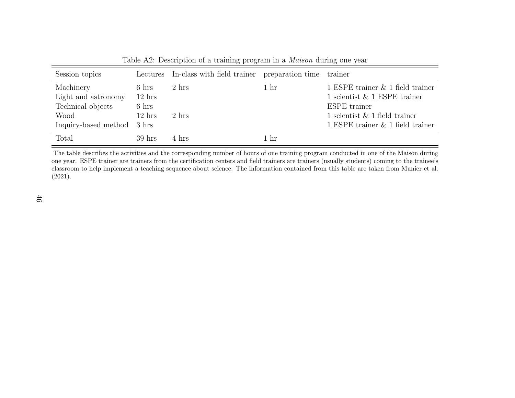| Session topics                                                                              |                                                                            | Lectures In-class with field trainer preparation time trainer |                 |                                                                                                                                                                   |
|---------------------------------------------------------------------------------------------|----------------------------------------------------------------------------|---------------------------------------------------------------|-----------------|-------------------------------------------------------------------------------------------------------------------------------------------------------------------|
| Machinery<br>Light and astronomy<br>Technical objects<br>Wood<br>Inquiry-based method 3 hrs | $6 \text{ hrs}$<br>$12 \text{ hrs}$<br>$6 \text{ hrs}$<br>$12 \text{ hrs}$ | 2 hrs<br>2 hrs                                                | 1 <sub>hr</sub> | 1 ESPE trainer $\&$ 1 field trainer<br>1 scientist $\&$ 1 ESPE trainer<br>ESPE trainer<br>1 scientist $\&$ 1 field trainer<br>1 ESPE trainer $\&$ 1 field trainer |
| Total                                                                                       | $39$ hrs                                                                   | 4 hrs                                                         | 1 hr            |                                                                                                                                                                   |

<span id="page-45-0"></span>Table A2: Description of <sup>a</sup> training program in <sup>a</sup> Maison during one year

The table describes the activities and the corresponding number of hours of one training program conducted in one of the Maison during one year. ESPE trainer are trainers from the certification centers and field trainers are trainers (usually students) coming to the trainee'sclassroom to help implement a teaching sequence about science. The information contained from this table are taken from [Munier](#page-42-16) et al.<br>(2001) [\(2021\)](#page-42-16).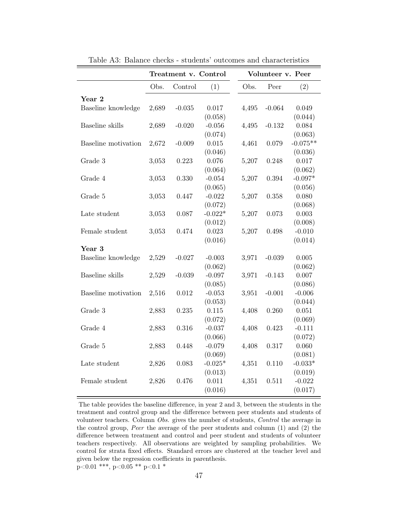<span id="page-46-0"></span>

|                     | Treatment v. Control |          |           |       | Volunteer v. Peer |            |
|---------------------|----------------------|----------|-----------|-------|-------------------|------------|
|                     | Obs.                 | Control  | (1)       | Obs.  | Peer              | (2)        |
| Year 2              |                      |          |           |       |                   |            |
| Baseline knowledge  | 2,689                | $-0.035$ | 0.017     | 4,495 | $-0.064$          | 0.049      |
|                     |                      |          | (0.058)   |       |                   | (0.044)    |
| Baseline skills     | 2,689                | $-0.020$ | $-0.056$  | 4,495 | $-0.132$          | 0.084      |
|                     |                      |          | (0.074)   |       |                   | (0.063)    |
| Baseline motivation | 2,672                | $-0.009$ | 0.015     | 4,461 | 0.079             | $-0.075**$ |
|                     |                      |          | (0.046)   |       |                   | (0.036)    |
| Grade 3             | 3,053                | 0.223    | 0.076     | 5,207 | 0.248             | 0.017      |
|                     |                      |          | (0.064)   |       |                   | (0.062)    |
| Grade 4             | 3,053                | 0.330    | $-0.054$  | 5,207 | 0.394             | $-0.097*$  |
|                     |                      |          | (0.065)   |       |                   | (0.056)    |
| Grade 5             | 3,053                | 0.447    | $-0.022$  | 5,207 | 0.358             | 0.080      |
|                     |                      |          | (0.072)   |       |                   | (0.068)    |
| Late student        | 3,053                | 0.087    | $-0.022*$ | 5,207 | 0.073             | 0.003      |
|                     |                      |          | (0.012)   |       |                   | (0.008)    |
| Female student      | 3,053                | 0.474    | 0.023     | 5,207 | 0.498             | $-0.010$   |
|                     |                      |          | (0.016)   |       |                   | (0.014)    |
| Year 3              |                      |          |           |       |                   |            |
| Baseline knowledge  | 2,529                | $-0.027$ | $-0.003$  | 3,971 | $-0.039$          | 0.005      |
|                     |                      |          | (0.062)   |       |                   | (0.062)    |
| Baseline skills     | 2,529                | $-0.039$ | $-0.097$  | 3,971 | $-0.143$          | 0.007      |
|                     |                      |          | (0.085)   |       |                   | (0.086)    |
| Baseline motivation | 2,516                | 0.012    | $-0.053$  | 3,951 | $-0.001$          | $-0.006$   |
|                     |                      |          | (0.053)   |       |                   | (0.044)    |
| Grade 3             | 2,883                | 0.235    | 0.115     | 4,408 | 0.260             | 0.051      |
|                     |                      |          | (0.072)   |       |                   | (0.069)    |
| Grade 4             | 2,883                | 0.316    | $-0.037$  | 4,408 | 0.423             | $-0.111$   |
|                     |                      |          | (0.066)   |       |                   | (0.072)    |
| Grade 5             | 2,883                | 0.448    | $-0.079$  | 4,408 | 0.317             | 0.060      |
|                     |                      |          | (0.069)   |       |                   | (0.081)    |
| Late student        | 2,826                | 0.083    | $-0.025*$ | 4,351 | 0.110             | $-0.033*$  |
|                     |                      |          | (0.013)   |       |                   | (0.019)    |
| Female student      | 2,826                | 0.476    | 0.011     | 4,351 | 0.511             | $-0.022$   |
|                     |                      |          | (0.016)   |       |                   | (0.017)    |

Table A3: Balance checks - students' outcomes and characteristics

The table provides the baseline difference, in year 2 and 3, between the students in the treatment and control group and the difference between peer students and students of volunteer teachers. Column Obs. gives the number of students, Control the average in the control group, Peer the average of the peer students and column (1) and (2) the difference between treatment and control and peer student and students of volunteer teachers respectively. All observations are weighted by sampling probabilities. We control for strata fixed effects. Standard errors are clustered at the teacher level and given below the regression coefficients in parenthesis. p<0.01 \*\*\*, p<0.05 \*\* p<0.1 \*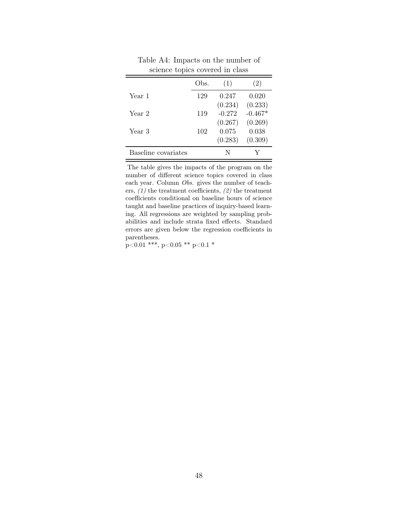<span id="page-47-0"></span>

|                     | Obs. | (1)      | (2)       |
|---------------------|------|----------|-----------|
| Year 1              | 129  | 0.247    | 0.020     |
|                     |      | (0.234)  | (0.233)   |
| Year 2              | 119  | $-0.272$ | $-0.467*$ |
|                     |      | (0.267)  | (0.269)   |
| Year 3              | 102  | 0.075    | 0.038     |
|                     |      | (0.283)  | (0.309)   |
| Baseline covariates |      |          |           |

Table A4: Impacts on the number of science topics covered in class

The table gives the impacts of the program on the number of different science topics covered in class each year. Column Obs. gives the number of teachers,  $(1)$  the treatment coefficients,  $(2)$  the treatment coefficients conditional on baseline hours of science taught and baseline practices of inquiry-based learning. All regressions are weighted by sampling probabilities and include strata fixed effects. Standard errors are given below the regression coefficients in parentheses.

 $p<0.01$  \*\*\*, p<0.05 \*\* p<0.1 \*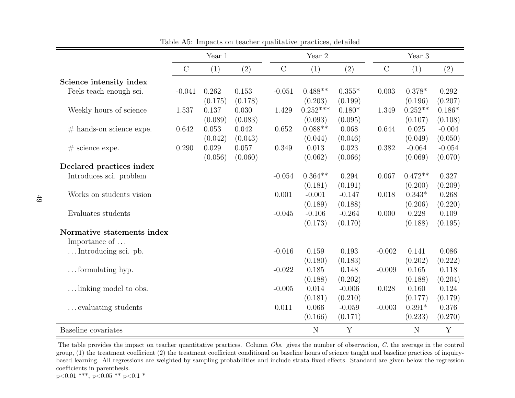|                            |               | Year 1  |         |               | Year 2     |          |               | Year 3    |          |  |
|----------------------------|---------------|---------|---------|---------------|------------|----------|---------------|-----------|----------|--|
|                            | $\mathcal{C}$ | (1)     | (2)     | $\mathcal{C}$ | (1)        | (2)      | $\mathcal{C}$ | (1)       | (2)      |  |
| Science intensity index    |               |         |         |               |            |          |               |           |          |  |
| Feels teach enough sci.    | $-0.041$      | 0.262   | 0.153   | $-0.051$      | $0.488**$  | $0.355*$ | 0.003         | $0.378*$  | 0.292    |  |
|                            |               | (0.175) | (0.178) |               | (0.203)    | (0.199)  |               | (0.196)   | (0.207)  |  |
| Weekly hours of science    | 1.537         | 0.137   | 0.030   | 1.429         | $0.252***$ | $0.180*$ | 1.349         | $0.252**$ | $0.186*$ |  |
|                            |               | (0.089) | (0.083) |               | (0.093)    | (0.095)  |               | (0.107)   | (0.108)  |  |
| $#$ hands-on science expe. | 0.642         | 0.053   | 0.042   | 0.652         | $0.088**$  | 0.068    | 0.644         | 0.025     | $-0.004$ |  |
|                            |               | (0.042) | (0.043) |               | (0.044)    | (0.046)  |               | (0.049)   | (0.050)  |  |
| $#$ science expe.          | 0.290         | 0.029   | 0.057   | 0.349         | 0.013      | 0.023    | 0.382         | $-0.064$  | $-0.054$ |  |
|                            |               | (0.056) | (0.060) |               | (0.062)    | (0.066)  |               | (0.069)   | (0.070)  |  |
| Declared practices index   |               |         |         |               |            |          |               |           |          |  |
| Introduces sci. problem    |               |         |         | $-0.054$      | $0.364**$  | 0.294    | 0.067         | $0.472**$ | 0.327    |  |
|                            |               |         |         |               | (0.181)    | (0.191)  |               | (0.200)   | (0.209)  |  |
| Works on students vision   |               |         |         | 0.001         | $-0.001$   | $-0.147$ | 0.018         | $0.343*$  | 0.268    |  |
|                            |               |         |         |               | (0.189)    | (0.188)  |               | (0.206)   | (0.220)  |  |
| Evaluates students         |               |         |         | $-0.045$      | $-0.106$   | $-0.264$ | 0.000         | 0.228     | 0.109    |  |
|                            |               |         |         |               | (0.173)    | (0.170)  |               | (0.188)   | (0.195)  |  |
| Normative statements index |               |         |         |               |            |          |               |           |          |  |
| Importance of $\dots$      |               |         |         |               |            |          |               |           |          |  |
| Introducing sci. pb.       |               |         |         | $-0.016$      | 0.159      | 0.193    | $-0.002$      | 0.141     | 0.086    |  |
|                            |               |         |         |               | (0.180)    | (0.183)  |               | (0.202)   | (0.222)  |  |
| $\dots$ formulating hyp.   |               |         |         | $-0.022$      | 0.185      | 0.148    | $-0.009$      | 0.165     | 0.118    |  |
|                            |               |         |         |               | (0.188)    | (0.202)  |               | (0.188)   | (0.204)  |  |
| linking model to obs.      |               |         |         | $-0.005$      | 0.014      | $-0.006$ | 0.028         | 0.160     | 0.124    |  |
|                            |               |         |         |               | (0.181)    | (0.210)  |               | (0.177)   | (0.179)  |  |
| evaluating students        |               |         |         | 0.011         | 0.066      | $-0.059$ | $-0.003$      | $0.391*$  | 0.376    |  |
|                            |               |         |         |               | (0.166)    | (0.171)  |               | (0.233)   | (0.270)  |  |
| Baseline covariates        |               |         |         |               | N          | Y        |               | N         | Y        |  |

Table A5: Impacts on teacher qualitative practices, detailed

The table provides the impact on teacher quantitative practices. Column *Obs.* gives the number of observation, *C*. the average in the control group, (1) the treatment coefficient (2) the treatment coefficient conditional on baseline hours of science taught and baseline practices of inquirybased learning. All regressions are weighted by sampling probabilities and include strata fixed effects. Standard are given below the regressioncoefficients in parenthesis.

<span id="page-48-0"></span> $p<0.01$  \*\*\*,  $p<0.05$  \*\*  $p<0.1$  \*

 $\equiv$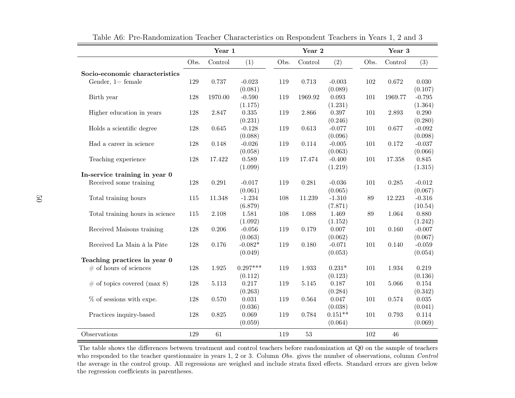|                                 |      | Year 1  |             |      | Year 2      |           |         | Year 3    |          |  |
|---------------------------------|------|---------|-------------|------|-------------|-----------|---------|-----------|----------|--|
|                                 | Obs. | Control | (1)         | Obs. | Control     | (2)       | Obs.    | Control   | (3)      |  |
| Socio-economic characteristics  |      |         |             |      |             |           |         |           |          |  |
| Gender, $1 = \text{female}$     | 129  | 0.737   | $-0.023$    | 119  | 0.713       | $-0.003$  | 102     | 0.672     | 0.030    |  |
|                                 |      |         | (0.081)     |      |             | (0.089)   |         |           | (0.107)  |  |
| Birth year                      | 128  | 1970.00 | $-0.590$    | 119  | 1969.92     | 0.093     | 101     | 1969.77   | $-0.795$ |  |
|                                 |      |         | (1.175)     |      |             | (1.231)   |         |           | (1.364)  |  |
| Higher education in years       | 128  | 2.847   | $0.335\,$   | 119  | 2.866       | 0.397     | 101     | 2.893     | 0.290    |  |
|                                 |      |         | (0.231)     |      |             | (0.246)   |         |           | (0.280)  |  |
| Holds a scientific degree       | 128  | 0.645   | $-0.128$    | 119  | $0.613\,$   | $-0.077$  | 101     | 0.677     | $-0.092$ |  |
|                                 |      |         | (0.088)     |      |             | (0.096)   |         |           | (0.098)  |  |
| Had a career in science         | 128  | 0.148   | $-0.026$    | 119  | 0.114       | $-0.005$  | 101     | 0.172     | $-0.037$ |  |
|                                 |      |         | (0.058)     |      |             | (0.063)   |         |           | (0.066)  |  |
| Teaching experience             | 128  | 17.422  | 0.589       | 119  | 17.474      | $-0.400$  | $101\,$ | 17.358    | 0.845    |  |
|                                 |      |         | (1.099)     |      |             | (1.219)   |         |           | (1.315)  |  |
| In-service training in year 0   |      |         |             |      |             |           |         |           |          |  |
| Received some training          | 128  | 0.291   | $-0.017$    | 119  | 0.281       | $-0.036$  | 101     | $0.285\,$ | $-0.012$ |  |
|                                 |      |         | (0.061)     |      |             | (0.065)   |         |           | (0.067)  |  |
| Total training hours            | 115  | 11.348  | $-1.234$    | 108  | 11.239      | $-1.310$  | $89\,$  | 12.223    | $-0.316$ |  |
|                                 |      |         | (6.879)     |      |             | (7.871)   |         |           | (10.54)  |  |
| Total training hours in science | 115  | 2.108   | 1.581       | 108  | 1.088       | 1.469     | 89      | 1.064     | 0.880    |  |
|                                 |      |         | (1.092)     |      |             | (1.152)   |         |           | (1.242)  |  |
| Received Maisons training       | 128  | 0.206   | $-0.056$    | 119  | 0.179       | $0.007\,$ | 101     | $0.160\,$ | $-0.007$ |  |
|                                 |      |         | (0.063)     |      |             | (0.062)   |         |           | (0.067)  |  |
| Received La Main à la Pâte      | 128  | 0.176   | $-0.082*$   | 119  | 0.180       | $-0.071$  | 101     | 0.140     | $-0.059$ |  |
|                                 |      |         | (0.049)     |      |             | (0.053)   |         |           | (0.054)  |  |
| Teaching practices in year 0    |      |         |             |      |             |           |         |           |          |  |
| $\#$ of hours of sciences       | 128  | 1.925   | $0.297***$  | 119  | 1.933       | $0.231*$  | 101     | 1.934     | 0.219    |  |
|                                 |      |         | (0.112)     |      |             | (0.123)   |         |           | (0.136)  |  |
| $\#$ of topics covered (max 8)  | 128  | 5.113   | 0.217       | 119  | $5.145\,$   | 0.187     | 101     | 5.066     | 0.154    |  |
|                                 |      |         | (0.263)     |      |             | (0.284)   |         |           | (0.342)  |  |
| $%$ of sessions with expe.      | 128  | 0.570   | $\,0.031\,$ | 119  | $\,0.564\,$ | 0.047     | 101     | 0.574     | 0.035    |  |
|                                 |      |         | (0.036)     |      |             | (0.038)   |         |           | (0.041)  |  |
| Practices inquiry-based         | 128  | 0.825   | 0.069       | 119  | 0.784       | $0.151**$ | 101     | 0.793     | 0.114    |  |
|                                 |      |         | (0.059)     |      |             | (0.064)   |         |           | (0.069)  |  |
| Observations                    | 129  | 61      |             | 119  | $53\,$      |           | 102     | 46        |          |  |

Table A6: Pre-Randomization Teacher Characteristics on Respondent Teachers in Years 1, 2 and 3

<span id="page-49-0"></span>The table shows the differences between treatment and control teachers before randomization at Q0 on the sample of teacherswho responded to the teacher questionnaire in years 1, 2 or 3. Column Obs. gives the number of observations, column Control the average in the control group. All regressions are weighed and include strata fixed effects. Standard errors are given belowthe regression coefficients in parentheses.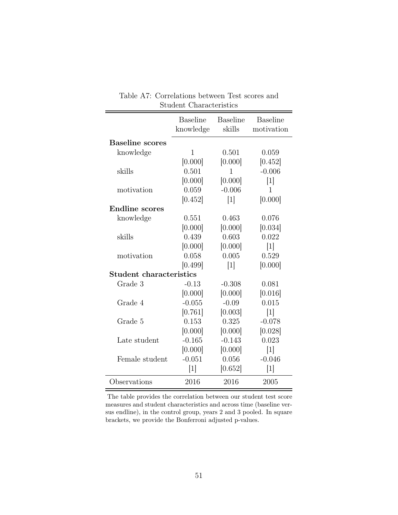<span id="page-50-0"></span>

|                         | <b>Baseline</b> | <b>Baseline</b>   | <b>Baseline</b> |
|-------------------------|-----------------|-------------------|-----------------|
|                         | knowledge       | skills            | motivation      |
| <b>Baseline scores</b>  |                 |                   |                 |
| knowledge               | 1               | 0.501             | 0.059           |
|                         | [0.000]         | [0.000]           | [0.452]         |
| skills                  | 0.501           | $\mathbf{1}$      | $-0.006$        |
|                         | [0.000]         | [0.000]           | $[1]$           |
| motivation              | 0.059           | $-0.006$          | 1               |
|                         | [0.452]         | $[1]$             | [0.000]         |
| <b>Endline</b> scores   |                 |                   |                 |
| knowledge               | 0.551           | 0.463             | 0.076           |
|                         | [0.000]         | [0.000]           | [0.034]         |
| skills                  | 0.439           | 0.603             | 0.022           |
|                         | [0.000]         | [0.000]           | $[1]$           |
| motivation              | 0.058           | 0.005             | 0.529           |
|                         | [0.499]         | $\lceil 1 \rceil$ | [0.000]         |
| Student characteristics |                 |                   |                 |
| Grade 3                 | $-0.13$         | $-0.308$          | 0.081           |
|                         | [0.000]         | [0.000]           | [0.016]         |
| Grade 4                 | $-0.055$        | $-0.09$           | 0.015           |
|                         | [0.761]         | [0.003]           | 1               |
| Grade 5                 | 0.153           | 0.325             | $-0.078$        |
|                         | [0.000]         | [0.000]           | [0.028]         |
| Late student            | $-0.165$        | $-0.143$          | 0.023           |
|                         | [0.000]         | [0.000]           | $[1]$           |
| Female student          | $-0.051$        | 0.056             | $-0.046$        |
|                         | $[1]$           | [0.652]           | $[1]$           |
| Observations            | 2016            | 2016              | 2005            |

Table A7: Correlations between Test scores and Student Characteristics

The table provides the correlation between our student test score measures and student characteristics and across time (baseline versus endline), in the control group, years 2 and 3 pooled. In square brackets, we provide the Bonferroni adjusted p-values.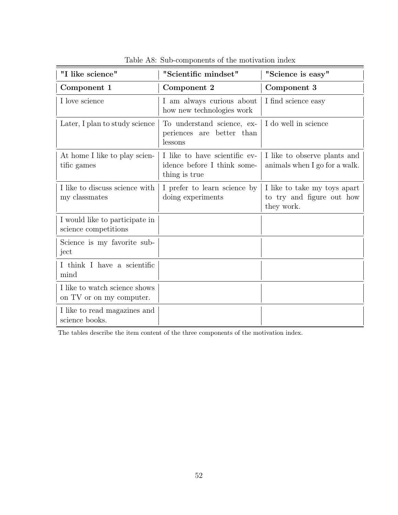<span id="page-51-0"></span>

| "I like science"                                          | "Scientific mindset"                                                          | "Science is easy"                                                       |
|-----------------------------------------------------------|-------------------------------------------------------------------------------|-------------------------------------------------------------------------|
| Component 1                                               | Component 2                                                                   | Component 3                                                             |
| I love science                                            | I am always curious about<br>how new technologies work                        | I find science easy                                                     |
| Later, I plan to study science                            | To understand science, ex-<br>periences are better than<br>lessons            | I do well in science                                                    |
| At home I like to play scien-<br>tific games              | I like to have scientific ev-<br>idence before I think some-<br>thing is true | I like to observe plants and<br>animals when I go for a walk.           |
| I like to discuss science with<br>my classmates           | I prefer to learn science by<br>doing experiments                             | I like to take my toys apart<br>to try and figure out how<br>they work. |
| I would like to participate in<br>science competitions    |                                                                               |                                                                         |
| Science is my favorite sub-<br>ject                       |                                                                               |                                                                         |
| I think I have a scientific<br>mind                       |                                                                               |                                                                         |
| I like to watch science shows<br>on TV or on my computer. |                                                                               |                                                                         |
| I like to read magazines and<br>science books.            |                                                                               |                                                                         |

Table A8: Sub-components of the motivation index

The tables describe the item content of the three components of the motivation index.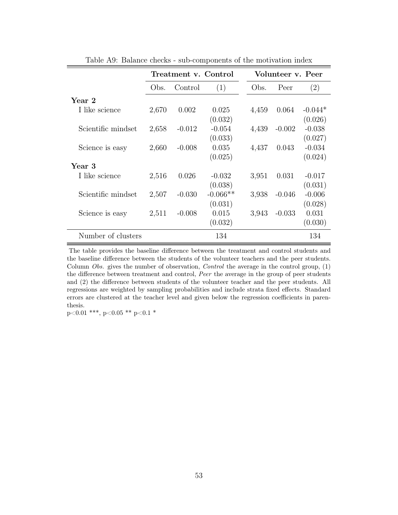<span id="page-52-0"></span>

|                    |       | Treatment v. Control |            | Volunteer v. Peer |          |           |  |
|--------------------|-------|----------------------|------------|-------------------|----------|-----------|--|
|                    | Obs.  | Control              | (1)        | Obs.              | Peer     | (2)       |  |
| Year 2             |       |                      |            |                   |          |           |  |
| I like science     | 2,670 | 0.002                | 0.025      | 4,459             | 0.064    | $-0.044*$ |  |
|                    |       |                      | (0.032)    |                   |          | (0.026)   |  |
| Scientific mindset | 2,658 | $-0.012$             | $-0.054$   | 4,439             | $-0.002$ | $-0.038$  |  |
|                    |       |                      | (0.033)    |                   |          | (0.027)   |  |
| Science is easy    | 2,660 | $-0.008$             | 0.035      | 4,437             | 0.043    | $-0.034$  |  |
|                    |       |                      | (0.025)    |                   |          | (0.024)   |  |
| Year 3             |       |                      |            |                   |          |           |  |
| I like science     | 2,516 | 0.026                | $-0.032$   | 3,951             | 0.031    | $-0.017$  |  |
|                    |       |                      | (0.038)    |                   |          | (0.031)   |  |
| Scientific mindset | 2,507 | $-0.030$             | $-0.066**$ | 3,938             | $-0.046$ | $-0.006$  |  |
|                    |       |                      | (0.031)    |                   |          | (0.028)   |  |
| Science is easy    | 2,511 | $-0.008$             | 0.015      | 3,943             | $-0.033$ | 0.031     |  |
|                    |       |                      | (0.032)    |                   |          | (0.030)   |  |
| Number of clusters |       |                      | 134        |                   |          | 134       |  |

Table A9: Balance checks - sub-components of the motivation index

The table provides the baseline difference between the treatment and control students and the baseline difference between the students of the volunteer teachers and the peer students. Column Obs. gives the number of observation, Control the average in the control group, (1) the difference between treatment and control, Peer the average in the group of peer students and (2) the difference between students of the volunteer teacher and the peer students. All regressions are weighted by sampling probabilities and include strata fixed effects. Standard errors are clustered at the teacher level and given below the regression coefficients in parenthesis.

p<0.01 \*\*\*, p<0.05 \*\* p<0.1 \*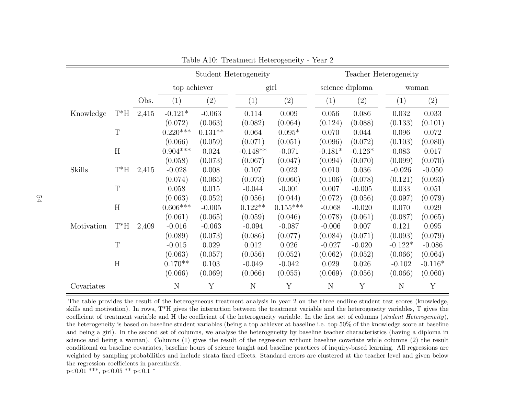|            |             |       |              |           | Student Heterogeneity |            |           |                 | Teacher Heterogeneity |           |
|------------|-------------|-------|--------------|-----------|-----------------------|------------|-----------|-----------------|-----------------------|-----------|
|            |             |       | top achiever |           |                       | girl       |           | science diploma |                       | woman     |
|            |             | Obs.  | (1)          | (2)       | $\left( 1\right)$     | (2)        | (1)       | (2)             | (1)                   | (2)       |
| Knowledge  | $T^*H$      | 2,415 | $-0.121*$    | $-0.063$  | 0.114                 | 0.009      | 0.056     | 0.086           | 0.032                 | 0.033     |
|            |             |       | (0.072)      | (0.063)   | (0.082)               | (0.064)    | (0.124)   | (0.088)         | (0.133)               | (0.101)   |
|            | $\mathbf T$ |       | $0.220***$   | $0.131**$ | 0.064                 | $0.095*$   | 0.070     | 0.044           | 0.096                 | 0.072     |
|            |             |       | (0.066)      | (0.059)   | (0.071)               | (0.051)    | (0.096)   | (0.072)         | (0.103)               | (0.080)   |
|            | $\,$ H      |       | $0.904***$   | 0.024     | $-0.148**$            | $-0.071$   | $-0.181*$ | $-0.126*$       | 0.083                 | 0.017     |
|            |             |       | (0.058)      | (0.073)   | (0.067)               | (0.047)    | (0.094)   | (0.070)         | (0.099)               | (0.070)   |
| Skills     | $T^*H$      | 2,415 | $-0.028$     | 0.008     | 0.107                 | 0.023      | 0.010     | 0.036           | $-0.026$              | $-0.050$  |
|            |             |       | (0.074)      | (0.065)   | (0.073)               | (0.060)    | (0.106)   | (0.078)         | (0.121)               | (0.093)   |
|            | $\mathbf T$ |       | 0.058        | 0.015     | $-0.044$              | $-0.001$   | 0.007     | $-0.005$        | 0.033                 | 0.051     |
|            |             |       | (0.063)      | (0.052)   | (0.056)               | (0.044)    | (0.072)   | (0.056)         | (0.097)               | (0.079)   |
|            | H           |       | $0.606***$   | $-0.005$  | $0.122**$             | $0.155***$ | $-0.068$  | $-0.020$        | 0.070                 | 0.029     |
|            |             |       | (0.061)      | (0.065)   | (0.059)               | (0.046)    | (0.078)   | (0.061)         | (0.087)               | (0.065)   |
| Motivation | $T^*H$      | 2,409 | $-0.016$     | $-0.063$  | $-0.094$              | $-0.087$   | $-0.006$  | 0.007           | 0.121                 | 0.095     |
|            |             |       | (0.089)      | (0.073)   | (0.086)               | (0.077)    | (0.084)   | (0.071)         | (0.093)               | (0.079)   |
|            | $\mathbf T$ |       | $-0.015$     | 0.029     | 0.012                 | 0.026      | $-0.027$  | $-0.020$        | $-0.122*$             | $-0.086$  |
|            |             |       | (0.063)      | (0.057)   | (0.056)               | (0.052)    | (0.062)   | (0.052)         | (0.066)               | (0.064)   |
|            | H           |       | $0.170**$    | 0.103     | $-0.049$              | $-0.042$   | 0.029     | 0.026           | $-0.102$              | $-0.116*$ |
|            |             |       | (0.066)      | (0.069)   | (0.066)               | (0.055)    | (0.069)   | (0.056)         | (0.066)               | (0.060)   |
| Covariates |             |       | N            | Y         | N                     | Y          | N         | Y               | N                     | Y         |

Table A10: Treatment Heterogeneity - Year 2

<span id="page-53-0"></span>The table provides the result of the heterogeneous treatment analysis in year <sup>2</sup> on the three endline student test scores (knowledge, skills and motivation). In rows, <sup>T</sup>\*H <sup>g</sup>ives the interaction between the treatment variable and the heterogeneity variables, <sup>T</sup> <sup>g</sup>ives thecoefficient of treatment variable and H the coefficient of the heterogeneity variable. In the first set of columns (student Heterogeneity), the heterogeneity is based on baseline student variables (being <sup>a</sup> top achiever at baseline i.e. top 50% of the knowledge score at baseline and being <sup>a</sup> <sup>g</sup>irl). In the second set of columns, we analyse the heterogeneity by baseline teacher characteristics (having <sup>a</sup> diploma in science and being <sup>a</sup> woman). Columns (1) <sup>g</sup>ives the result of the regression without baseline covariate while columns (2) the result conditional on baseline covariates, baseline hours of science taught and baseline practices of inquiry-based learning. All regressions are weighted by sampling probabilities and include strata fixed effects. Standard errors are clustered at the teacher level and given belowthe regression coefficients in parenthesis. $p<0.01$  \*\*\*,  $p<0.05$  \*\*  $p<0.1$  \*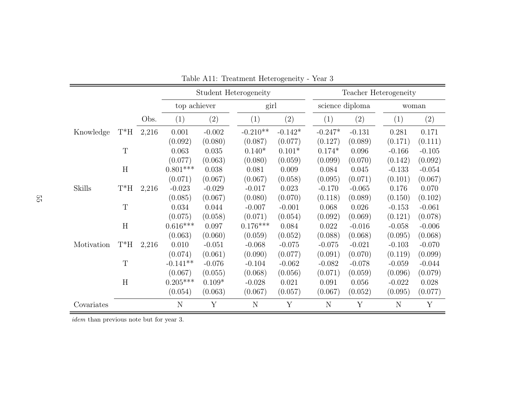|            |             |       |              |                   | Student Heterogeneity |           |           |                   | Teacher Heterogeneity |                 |       |  |
|------------|-------------|-------|--------------|-------------------|-----------------------|-----------|-----------|-------------------|-----------------------|-----------------|-------|--|
|            |             |       | top achiever |                   | girl                  |           |           |                   |                       | science diploma | woman |  |
|            |             | Obs.  | (1)          | $\left( 2\right)$ | (1)                   | (2)       | (1)       | $\left( 2\right)$ | (1)                   | (2)             |       |  |
| Knowledge  | $T^*H$      | 2,216 | 0.001        | $-0.002$          | $-0.210**$            | $-0.142*$ | $-0.247*$ | $-0.131$          | 0.281                 | 0.171           |       |  |
|            |             |       | (0.092)      | (0.080)           | (0.087)               | (0.077)   | (0.127)   | (0.089)           | (0.171)               | (0.111)         |       |  |
|            | T           |       | 0.063        | 0.035             | $0.140*$              | $0.101*$  | $0.174*$  | 0.096             | $-0.166$              | $-0.105$        |       |  |
|            |             |       | (0.077)      | (0.063)           | (0.080)               | (0.059)   | (0.099)   | (0.070)           | (0.142)               | (0.092)         |       |  |
|            | H           |       | $0.801***$   | 0.038             | 0.081                 | 0.009     | 0.084     | 0.045             | $-0.133$              | $-0.054$        |       |  |
|            |             |       | (0.071)      | (0.067)           | (0.067)               | (0.058)   | (0.095)   | (0.071)           | (0.101)               | (0.067)         |       |  |
| Skills     | $T^*H$      | 2,216 | $-0.023$     | $-0.029$          | $-0.017$              | 0.023     | $-0.170$  | $-0.065$          | 0.176                 | 0.070           |       |  |
|            |             |       | (0.085)      | (0.067)           | (0.080)               | (0.070)   | (0.118)   | (0.089)           | (0.150)               | (0.102)         |       |  |
|            | $\mathbf T$ |       | 0.034        | 0.044             | $-0.007$              | $-0.001$  | 0.068     | 0.026             | $-0.153$              | $-0.061$        |       |  |
|            |             |       | (0.075)      | (0.058)           | (0.071)               | (0.054)   | (0.092)   | (0.069)           | (0.121)               | (0.078)         |       |  |
|            | H           |       | $0.616***$   | 0.097             | $0.176***$            | 0.084     | 0.022     | $-0.016$          | $-0.058$              | $-0.006$        |       |  |
|            |             |       | (0.063)      | (0.060)           | (0.059)               | (0.052)   | (0.088)   | (0.068)           | (0.095)               | (0.068)         |       |  |
| Motivation | $T^*H$      | 2,216 | 0.010        | $-0.051$          | $-0.068$              | $-0.075$  | $-0.075$  | $-0.021$          | $-0.103$              | $-0.070$        |       |  |
|            |             |       | (0.074)      | (0.061)           | (0.090)               | (0.077)   | (0.091)   | (0.070)           | (0.119)               | (0.099)         |       |  |
|            | T           |       | $-0.141**$   | $-0.076$          | $-0.104$              | $-0.062$  | $-0.082$  | $-0.078$          | $-0.059$              | $-0.044$        |       |  |
|            |             |       | (0.067)      | (0.055)           | (0.068)               | (0.056)   | (0.071)   | (0.059)           | (0.096)               | (0.079)         |       |  |
|            | H           |       | $0.205***$   | $0.109*$          | $-0.028$              | 0.021     | 0.091     | 0.056             | $-0.022$              | 0.028           |       |  |
|            |             |       | (0.054)      | (0.063)           | (0.067)               | (0.057)   | (0.067)   | (0.052)           | (0.095)               | (0.077)         |       |  |
| Covariates |             |       | N            | Y                 | $\mathbf N$           | Y         | N         | Y                 | N                     | Y               |       |  |

| Table A11: Treatment Heterogeneity - Year 3 |  |
|---------------------------------------------|--|
|---------------------------------------------|--|

<span id="page-54-0"></span>idem than previous note but for year 3.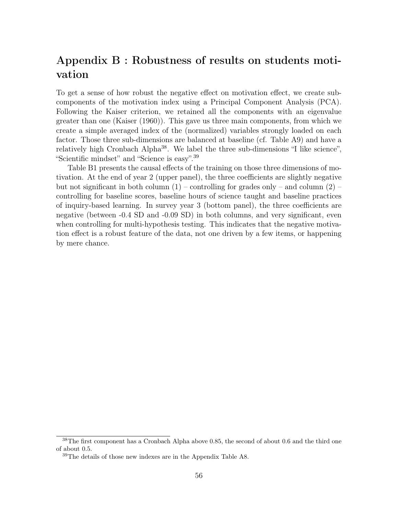# Appendix B : Robustness of results on students motivation

To get a sense of how robust the negative effect on motivation effect, we create subcomponents of the motivation index using a Principal Component Analysis (PCA). Following the Kaiser criterion, we retained all the components with an eigenvalue greater than one [\(Kaiser](#page-41-16) [\(1960\)](#page-41-16)). This gave us three main components, from which we create a simple averaged index of the (normalized) variables strongly loaded on each factor. Those three sub-dimensions are balanced at baseline (cf. Table [A9\)](#page-52-0) and have a relatively high Cronbach Alpha<sup>[38](#page-55-0)</sup>. We label the three sub-dimensions "I like science", "Scientific mindset" and "Science is easy".[39](#page-55-1)

Table [B1](#page-56-0) presents the causal effects of the training on those three dimensions of motivation. At the end of year 2 (upper panel), the three coefficients are slightly negative but not significant in both column  $(1)$  – controlling for grades only – and column  $(2)$  – controlling for baseline scores, baseline hours of science taught and baseline practices of inquiry-based learning. In survey year 3 (bottom panel), the three coefficients are negative (between -0.4 SD and -0.09 SD) in both columns, and very significant, even when controlling for multi-hypothesis testing. This indicates that the negative motivation effect is a robust feature of the data, not one driven by a few items, or happening by mere chance.

<span id="page-55-0"></span><sup>&</sup>lt;sup>38</sup>The first component has a Cronbach Alpha above 0.85, the second of about 0.6 and the third one of about 0.5.

<span id="page-55-1"></span><sup>39</sup>The details of those new indexes are in the Appendix Table [A8.](#page-51-0)